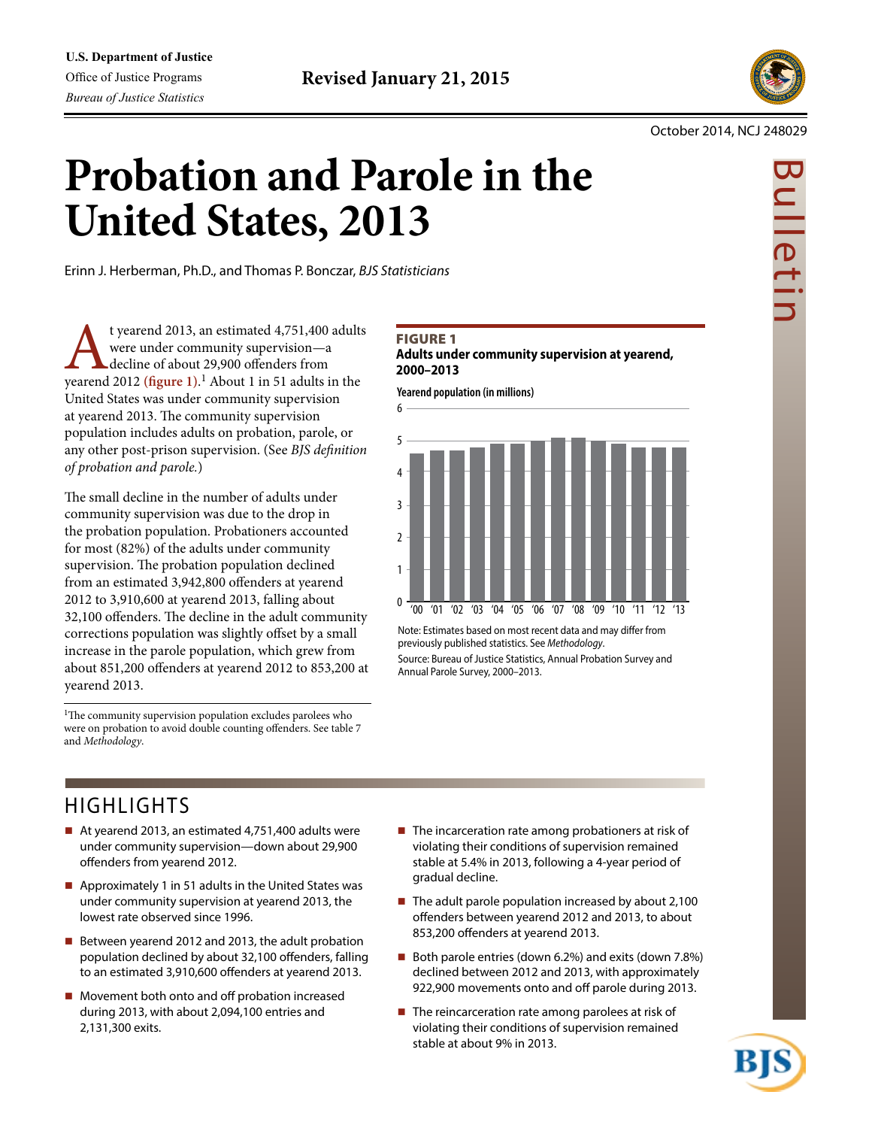

Bulletin

uljetir

#### October 2014, NCJ 248029

# **Probation and Parole in the United States, 2013**

Erinn J. Herberman, Ph.D., and Thomas P. Bonczar, *BJS Statisticians*

**t** yearend 2013, an estimated 4,751,400 adults<br>were under community supervision—a<br>decline of about 29,900 offenders from<br>yearend 2012 (figure 1).<sup>1</sup> About 1 in 51 adults in the were under community supervision—a decline of about 29,900 offenders from United States was under community supervision at yearend 2013. The community supervision population includes adults on probation, parole, or any other post-prison supervision. (See *BJS definition of probation and parole.*)

The small decline in the number of adults under community supervision was due to the drop in the probation population. Probationers accounted for most (82%) of the adults under community supervision. The probation population declined from an estimated 3,942,800 offenders at yearend 2012 to 3,910,600 at yearend 2013, falling about 32,100 offenders. The decline in the adult community corrections population was slightly offset by a small increase in the parole population, which grew from about 851,200 offenders at yearend 2012 to 853,200 at yearend 2013.

<sup>1</sup>The community supervision population excludes parolees who were on probation to avoid double counting offenders. See table 7 and *Methodology*.

# **FIGURE 1**

6

**Adults under community supervision at yearend, 2000–2013**

**Yearend population (in millions)**



Note: Estimates based on most recent data and may differ from previously published statistics. See *Methodology*. Source: Bureau of Justice Statistics, Annual Probation Survey and Annual Parole Survey, 2000–2013.

# HIGHLIGHTS

- At yearend 2013, an estimated 4,751,400 adults were under community supervision—down about 29,900 offenders from yearend 2012.
- Approximately 1 in 51 adults in the United States was under community supervision at yearend 2013, the lowest rate observed since 1996.
- Between yearend 2012 and 2013, the adult probation population declined by about 32,100 offenders, falling to an estimated 3,910,600 offenders at yearend 2013.
- Movement both onto and off probation increased during 2013, with about 2,094,100 entries and 2,131,300 exits.
- $\blacksquare$  The incarceration rate among probationers at risk of violating their conditions of supervision remained stable at 5.4% in 2013, following a 4-year period of gradual decline.
- $\blacksquare$  The adult parole population increased by about 2,100 offenders between yearend 2012 and 2013, to about 853,200 offenders at yearend 2013.
- Both parole entries (down 6.2%) and exits (down 7.8%) declined between 2012 and 2013, with approximately 922,900 movements onto and off parole during 2013.
- $\blacksquare$  The reincarceration rate among parolees at risk of violating their conditions of supervision remained stable at about 9% in 2013.

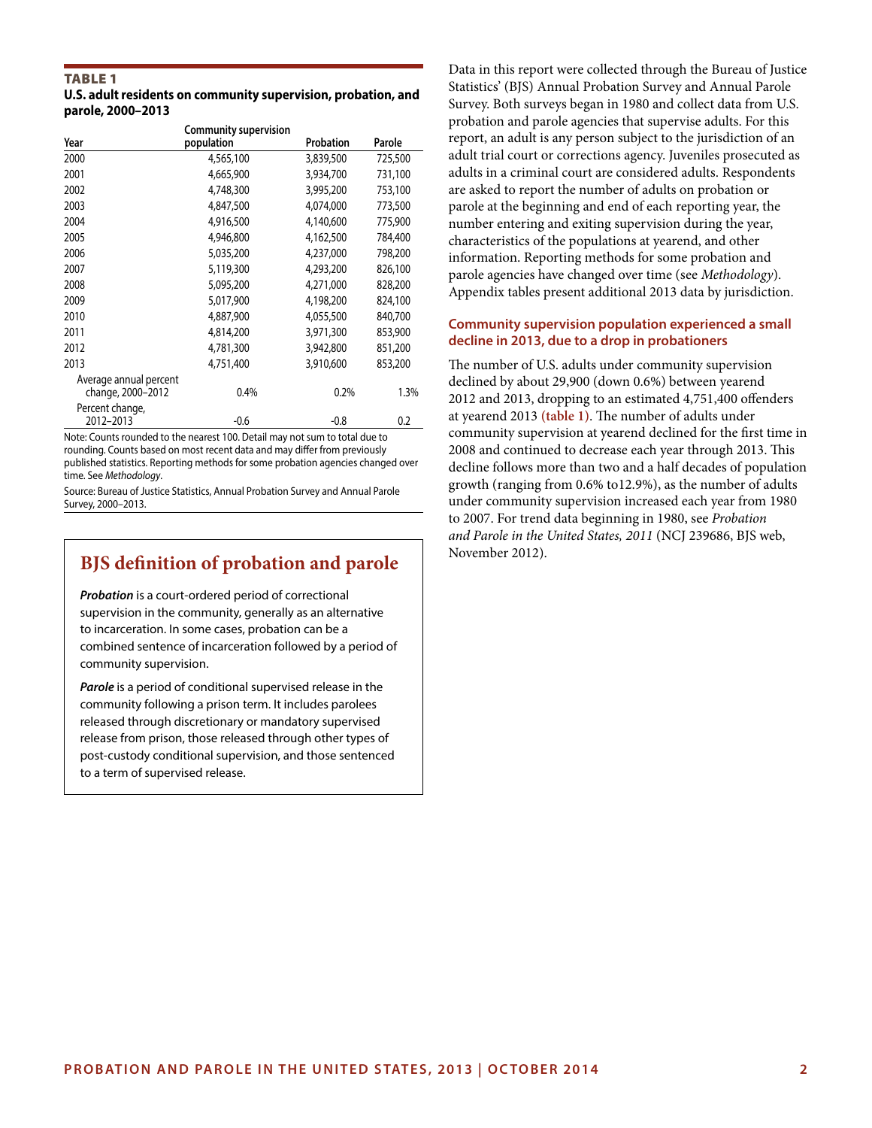#### TABLE 1 **U.S. adult residents on community supervision, probation, and parole, 2000–2013**

|                                             | <b>Community supervision</b> |           |         |
|---------------------------------------------|------------------------------|-----------|---------|
| Year                                        | population                   | Probation | Parole  |
| 2000                                        | 4,565,100                    | 3,839,500 | 725,500 |
| 2001                                        | 4,665,900                    | 3,934,700 | 731,100 |
| 2002                                        | 4,748,300                    | 3,995,200 | 753,100 |
| 2003                                        | 4,847,500                    | 4,074,000 | 773,500 |
| 2004                                        | 4,916,500                    | 4,140,600 | 775,900 |
| 2005                                        | 4,946,800                    | 4,162,500 | 784,400 |
| 2006                                        | 5,035,200                    | 4,237,000 | 798,200 |
| 2007                                        | 5,119,300                    | 4,293,200 | 826,100 |
| 2008                                        | 5,095,200                    | 4,271,000 | 828,200 |
| 2009                                        | 5,017,900                    | 4,198,200 | 824,100 |
| 2010                                        | 4,887,900                    | 4,055,500 | 840,700 |
| 2011                                        | 4,814,200                    | 3,971,300 | 853,900 |
| 2012                                        | 4,781,300                    | 3,942,800 | 851,200 |
| 2013                                        | 4,751,400                    | 3,910,600 | 853,200 |
| Average annual percent<br>change, 2000-2012 | 0.4%                         | 0.2%      | 1.3%    |
| Percent change,<br>2012-2013                | $-0.6$                       | $-0.8$    | 0.2     |

Note: Counts rounded to the nearest 100. Detail may not sum to total due to rounding. Counts based on most recent data and may differ from previously published statistics. Reporting methods for some probation agencies changed over time. See *Methodology*.

Source: Bureau of Justice Statistics, Annual Probation Survey and Annual Parole Survey, 2000–2013.

# **BJS definition of probation and parole** November 2012).

*Probation* is a court-ordered period of correctional supervision in the community, generally as an alternative to incarceration. In some cases, probation can be a combined sentence of incarceration followed by a period of community supervision.

*Parole* is a period of conditional supervised release in the community following a prison term. It includes parolees released through discretionary or mandatory supervised release from prison, those released through other types of post-custody conditional supervision, and those sentenced to a term of supervised release.

Data in this report were collected through the Bureau of Justice Statistics' (BJS) Annual Probation Survey and Annual Parole Survey. Both surveys began in 1980 and collect data from U.S. probation and parole agencies that supervise adults. For this report, an adult is any person subject to the jurisdiction of an adult trial court or corrections agency. Juveniles prosecuted as adults in a criminal court are considered adults. Respondents are asked to report the number of adults on probation or parole at the beginning and end of each reporting year, the number entering and exiting supervision during the year, characteristics of the populations at yearend, and other information. Reporting methods for some probation and parole agencies have changed over time (see *Methodology*). Appendix tables present additional 2013 data by jurisdiction.

# **Community supervision population experienced a small decline in 2013, due to a drop in probationers**

The number of U.S. adults under community supervision declined by about 29,900 (down 0.6%) between yearend 2012 and 2013, dropping to an estimated 4,751,400 offenders at yearend 2013 **(table 1)**. The number of adults under community supervision at yearend declined for the first time in 2008 and continued to decrease each year through 2013. This decline follows more than two and a half decades of population growth (ranging from 0.6% to12.9%), as the number of adults under community supervision increased each year from 1980 to 2007. For trend data beginning in 1980, see *Probation and Parole in the United States, 2011* (NCJ 239686, BJS web,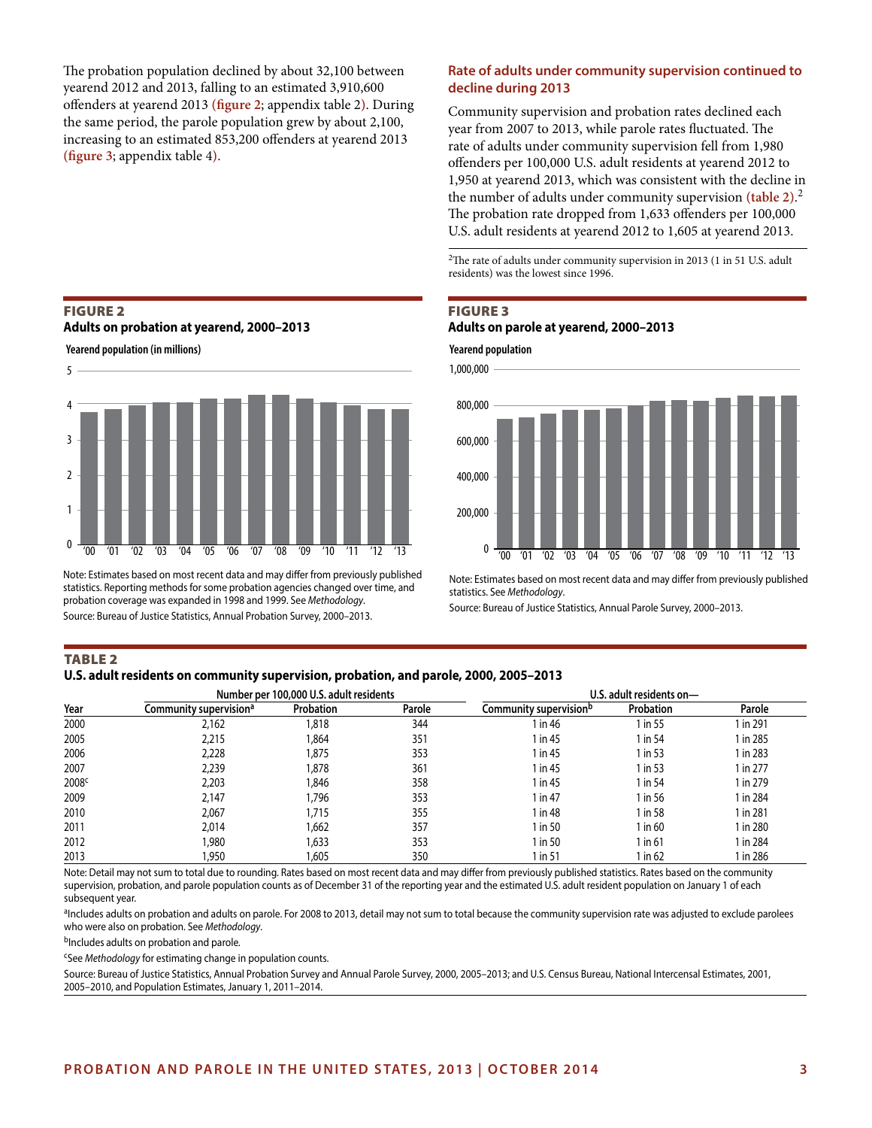The probation population declined by about 32,100 between yearend 2012 and 2013, falling to an estimated 3,910,600 offenders at yearend 2013 **(figure 2**; appendix table 2**)**. During the same period, the parole population grew by about 2,100, increasing to an estimated 853,200 offenders at yearend 2013 **(figure 3**; appendix table 4**)**.

#### FIGURE 2

#### **Adults on probation at yearend, 2000–2013**

**Yearend population (in millions)**



Note: Estimates based on most recent data and may differ from previously published statistics. Reporting methods for some probation agencies changed over time, and probation coverage was expanded in 1998 and 1999. See *Methodology*. Source: Bureau of Justice Statistics, Annual Probation Survey, 2000–2013.

#### **Rate of adults under community supervision continued to decline during 2013**

Community supervision and probation rates declined each year from 2007 to 2013, while parole rates fluctuated. The rate of adults under community supervision fell from 1,980 offenders per 100,000 U.S. adult residents at yearend 2012 to 1,950 at yearend 2013, which was consistent with the decline in the number of adults under community supervision **(table 2)**. 2 The probation rate dropped from 1,633 offenders per 100,000 U.S. adult residents at yearend 2012 to 1,605 at yearend 2013.

2The rate of adults under community supervision in 2013 (1 in 51 U.S. adult residents) was the lowest since 1996.

# FIGURE 3 **Adults on parole at yearend, 2000–2013**



Note: Estimates based on most recent data and may differ from previously published statistics. See *Methodology*.

Source: Bureau of Justice Statistics, Annual Parole Survey, 2000–2013.

## TABLE 2

#### **U.S. adult residents on community supervision, probation, and parole, 2000, 2005–2013**

|                   |                                    | Number per 100,000 U.S. adult residents |        | U.S. adult residents on-           |             |          |  |  |
|-------------------|------------------------------------|-----------------------------------------|--------|------------------------------------|-------------|----------|--|--|
| Year              | Community supervision <sup>a</sup> | Probation                               | Parole | Community supervision <sup>b</sup> | Probation   | Parole   |  |  |
| 2000              | 2,162                              | 818,                                    | 344    | $\ln 46$                           | 1 in 55     | l in 291 |  |  |
| 2005              | 2,215                              | 864,                                    | 351    | l in 45                            | 1 in 54     | 1 in 285 |  |  |
| 2006              | 2,228                              | ,875                                    | 353    | 1 in 45                            | 1 in 53     | 1 in 283 |  |  |
| 2007              | 2,239                              | ,878                                    | 361    | 1 in 45                            | 1 in 53     | 1 in 277 |  |  |
| 2008 <sup>c</sup> | 2,203                              | ,846                                    | 358    | 1 in 45                            | 1 in 54     | 1 in 279 |  |  |
| 2009              | 2,147                              | .796                                    | 353    | 1 in 47                            | 1 in 56     | 1 in 284 |  |  |
| 2010              | 2.067                              | 715,                                    | 355    | 1 in 48                            | 1 in 58     | 1 in 281 |  |  |
| 2011              | 2,014                              | ,662                                    | 357    | 1 in 50                            | $1$ in 60   | 1 in 280 |  |  |
| 2012              | 1,980                              | ,633                                    | 353    | 1 in 50                            | $1$ in $61$ | 1 in 284 |  |  |
| 2013              | 1,950                              | ,605                                    | 350    | in 51                              | 1 in 62     | l in 286 |  |  |

Note: Detail may not sum to total due to rounding. Rates based on most recent data and may differ from previously published statistics. Rates based on the community supervision, probation, and parole population counts as of December 31 of the reporting year and the estimated U.S. adult resident population on January 1 of each subsequent year.

aIncludes adults on probation and adults on parole. For 2008 to 2013, detail may not sum to total because the community supervision rate was adjusted to exclude parolees who were also on probation. See *Methodology*.

bIncludes adults on probation and parole*.*

cSee *Methodology* for estimating change in population counts.

Source: Bureau of Justice Statistics, Annual Probation Survey and Annual Parole Survey, 2000, 2005–2013; and U.S. Census Bureau, National Intercensal Estimates, 2001, 2005–2010, and Population Estimates, January 1, 2011–2014.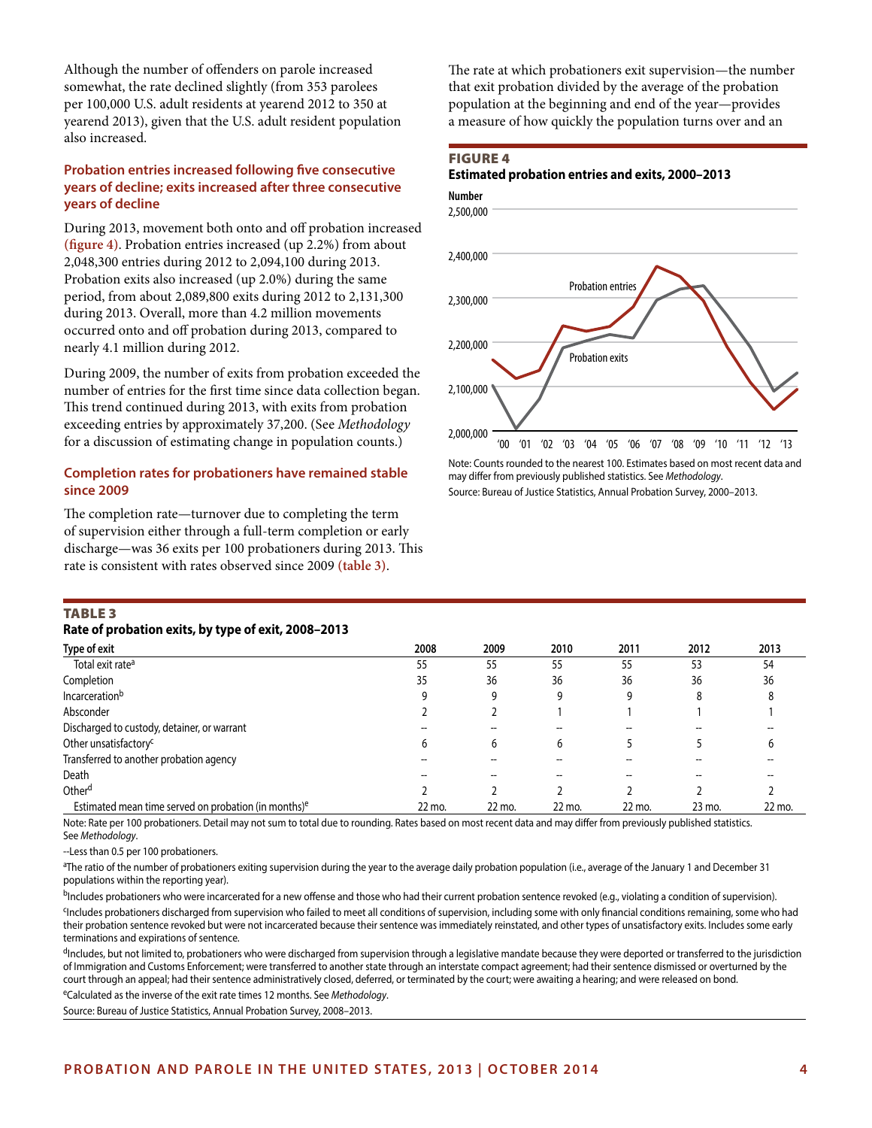Although the number of offenders on parole increased somewhat, the rate declined slightly (from 353 parolees per 100,000 U.S. adult residents at yearend 2012 to 350 at yearend 2013), given that the U.S. adult resident population also increased.

# **Probation entries increased following five consecutive years of decline; exits increased after three consecutive years of decline**

During 2013, movement both onto and off probation increased **(figure 4)**. Probation entries increased (up 2.2%) from about 2,048,300 entries during 2012 to 2,094,100 during 2013. Probation exits also increased (up 2.0%) during the same period, from about 2,089,800 exits during 2012 to 2,131,300 during 2013. Overall, more than 4.2 million movements occurred onto and off probation during 2013, compared to nearly 4.1 million during 2012.

During 2009, the number of exits from probation exceeded the number of entries for the first time since data collection began. This trend continued during 2013, with exits from probation exceeding entries by approximately 37,200. (See *Methodology* for a discussion of estimating change in population counts.)

#### **Completion rates for probationers have remained stable since 2009**

The completion rate—turnover due to completing the term of supervision either through a full-term completion or early discharge—was 36 exits per 100 probationers during 2013. This rate is consistent with rates observed since 2009 **(table 3)**.

The rate at which probationers exit supervision—the number that exit probation divided by the average of the probation population at the beginning and end of the year—provides a measure of how quickly the population turns over and an

#### FIGURE 4

# **Estimated probation entries and exits, 2000–2013**



Note: Counts rounded to the nearest 100. Estimates based on most recent data and may differ from previously published statistics. See *Methodology*. Source: Bureau of Justice Statistics, Annual Probation Survey, 2000–2013.

# TABLE 3

## **Rate of probation exits, by type of exit, 2008–2013**

| Type of exit                                                     | 2008   | 2009   | 2010   | 2011   | 2012   | 2013   |
|------------------------------------------------------------------|--------|--------|--------|--------|--------|--------|
| Total exit rate <sup>a</sup>                                     | 55     | 55     | 55     | 55     | 53     | 54     |
| Completion                                                       | 35     | 36     | 36     | 36     | 36     | 36     |
| Incarceration <sup>b</sup>                                       |        |        |        |        | 8      |        |
| Absconder                                                        |        |        |        |        |        |        |
| Discharged to custody, detainer, or warrant                      |        |        |        |        |        |        |
| Other unsatisfactory <sup>c</sup>                                | b      | 6      | h      |        |        |        |
| Transferred to another probation agency                          |        |        |        |        |        |        |
| Death                                                            |        |        |        |        |        |        |
| Other <sup>d</sup>                                               |        |        |        |        |        |        |
| Estimated mean time served on probation (in months) <sup>e</sup> | 22 mo. | 22 mo. | 22 mo. | 22 mo. | 23 mo. | 22 mo. |

Note: Rate per 100 probationers. Detail may not sum to total due to rounding. Rates based on most recent data and may differ from previously published statistics. See *Methodology*.

--Less than 0.5 per 100 probationers.

a The ratio of the number of probationers exiting supervision during the year to the average daily probation population (i.e., average of the January 1 and December 31 populations within the reporting year).

<sup>b</sup>Includes probationers who were incarcerated for a new offense and those who had their current probation sentence revoked (e.g., violating a condition of supervision).

cIncludes probationers discharged from supervision who failed to meet all conditions of supervision, including some with only financial conditions remaining, some who had their probation sentence revoked but were not incarcerated because their sentence was immediately reinstated, and other types of unsatisfactory exits. Includes some early terminations and expirations of sentence.

dIncludes, but not limited to, probationers who were discharged from supervision through a legislative mandate because they were deported or transferred to the jurisdiction of Immigration and Customs Enforcement; were transferred to another state through an interstate compact agreement; had their sentence dismissed or overturned by the court through an appeal; had their sentence administratively closed, deferred, or terminated by the court; were awaiting a hearing; and were released on bond.

eCalculated as the inverse of the exit rate times 12 months. See *Methodology*.

Source: Bureau of Justice Statistics, Annual Probation Survey, 2008–2013.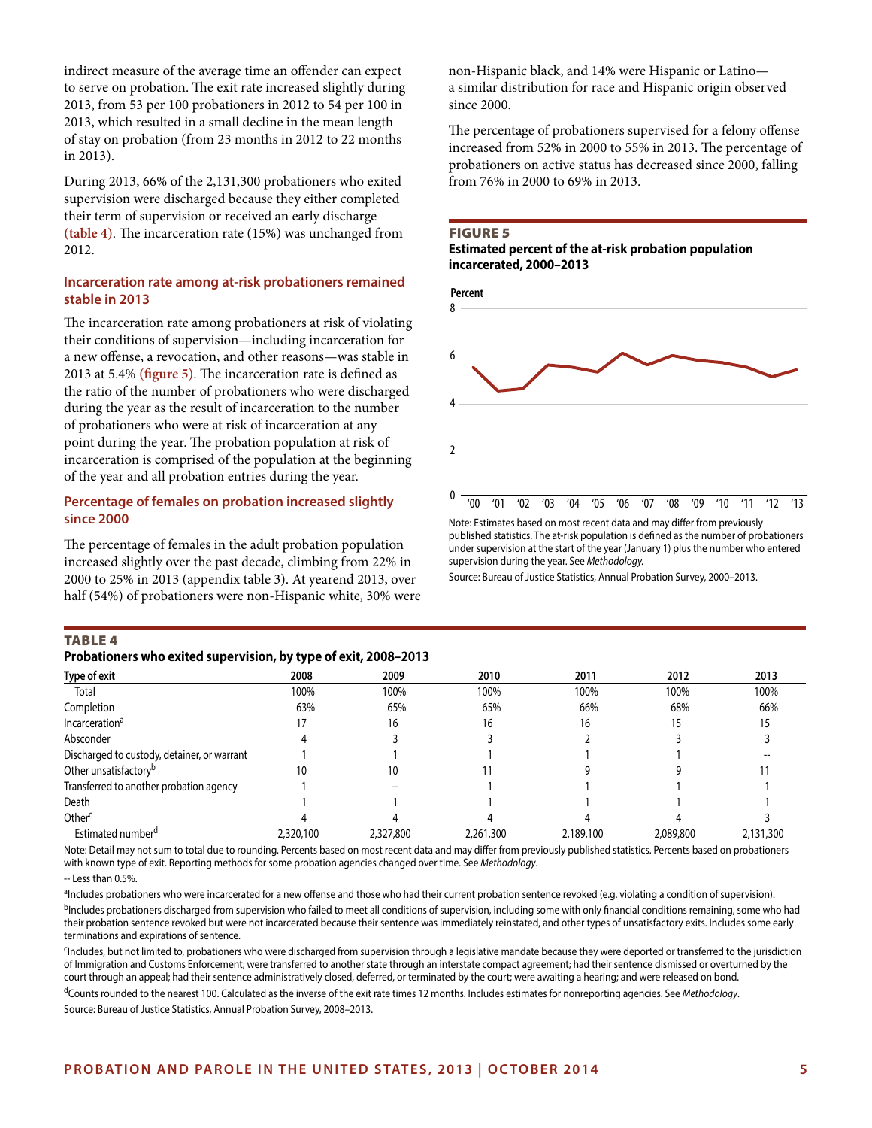indirect measure of the average time an offender can expect to serve on probation. The exit rate increased slightly during 2013, from 53 per 100 probationers in 2012 to 54 per 100 in 2013, which resulted in a small decline in the mean length of stay on probation (from 23 months in 2012 to 22 months in 2013).

During 2013, 66% of the 2,131,300 probationers who exited supervision were discharged because they either completed their term of supervision or received an early discharge **(table 4)**. The incarceration rate (15%) was unchanged from 2012.

#### **Incarceration rate among at-risk probationers remained stable in 2013**

The incarceration rate among probationers at risk of violating their conditions of supervision—including incarceration for a new offense, a revocation, and other reasons—was stable in 2013 at 5.4% **(figure 5)**. The incarceration rate is defined as the ratio of the number of probationers who were discharged during the year as the result of incarceration to the number of probationers who were at risk of incarceration at any point during the year. The probation population at risk of incarceration is comprised of the population at the beginning of the year and all probation entries during the year.

# **Percentage of females on probation increased slightly since 2000**

The percentage of females in the adult probation population increased slightly over the past decade, climbing from 22% in 2000 to 25% in 2013 (appendix table 3). At yearend 2013, over half (54%) of probationers were non-Hispanic white, 30% were non-Hispanic black, and 14% were Hispanic or Latino a similar distribution for race and Hispanic origin observed since 2000.

The percentage of probationers supervised for a felony offense increased from 52% in 2000 to 55% in 2013. The percentage of probationers on active status has decreased since 2000, falling from 76% in 2000 to 69% in 2013.

#### FIGURE 5

#### **Estimated percent of the at-risk probation population incarcerated, 2000–2013**



Note: Estimates based on most recent data and may differ from previously published statistics. The at-risk population is defined as the number of probationers under supervision at the start of the year (January 1) plus the number who entered supervision during the year. See *Methodology.*

Source: Bureau of Justice Statistics, Annual Probation Survey, 2000–2013.

#### TABLE 4

| Probationers who exited supervision, by type of exit, 2008-2013 |  |  |  |  |
|-----------------------------------------------------------------|--|--|--|--|
|-----------------------------------------------------------------|--|--|--|--|

| Type of exit                                | 2008      | 2009      | 2010      | 2011      | 2012      | 2013      |
|---------------------------------------------|-----------|-----------|-----------|-----------|-----------|-----------|
| Total                                       | 100%      | 100%      | 100%      | 100%      | 100%      | 100%      |
| Completion                                  | 63%       | 65%       | 65%       | 66%       | 68%       | 66%       |
| Incarceration <sup>a</sup>                  | 17        | 16        | 16        | 16        | 15        | 15        |
| Absconder                                   |           |           |           |           |           |           |
| Discharged to custody, detainer, or warrant |           |           |           |           |           |           |
| Other unsatisfactory <sup>b</sup>           | 10        | 10        |           |           |           |           |
| Transferred to another probation agency     |           |           |           |           |           |           |
| Death                                       |           |           |           |           |           |           |
| Other <sup>c</sup>                          |           |           |           |           |           |           |
| Estimated number <sup>d</sup>               | 2,320,100 | 2,327,800 | 2,261,300 | 2,189,100 | 2,089,800 | 2,131,300 |

Note: Detail may not sum to total due to rounding. Percents based on most recent data and may differ from previously published statistics. Percents based on probationers with known type of exit. Reporting methods for some probation agencies changed over time. See *Methodology*.

 $-$  Less than 0.5%

aIncludes probationers who were incarcerated for a new offense and those who had their current probation sentence revoked (e.g. violating a condition of supervision). <sup>b</sup>Includes probationers discharged from supervision who failed to meet all conditions of supervision, including some with only financial conditions remaining, some who had their probation sentence revoked but were not incarcerated because their sentence was immediately reinstated, and other types of unsatisfactory exits. Includes some early terminations and expirations of sentence.

cIncludes, but not limited to, probationers who were discharged from supervision through a legislative mandate because they were deported or transferred to the jurisdiction of Immigration and Customs Enforcement; were transferred to another state through an interstate compact agreement; had their sentence dismissed or overturned by the court through an appeal; had their sentence administratively closed, deferred, or terminated by the court; were awaiting a hearing; and were released on bond.

dCounts rounded to the nearest 100. Calculated as the inverse of the exit rate times 12 months. Includes estimates for nonreporting agencies. See *Methodology*. Source: Bureau of Justice Statistics, Annual Probation Survey, 2008–2013.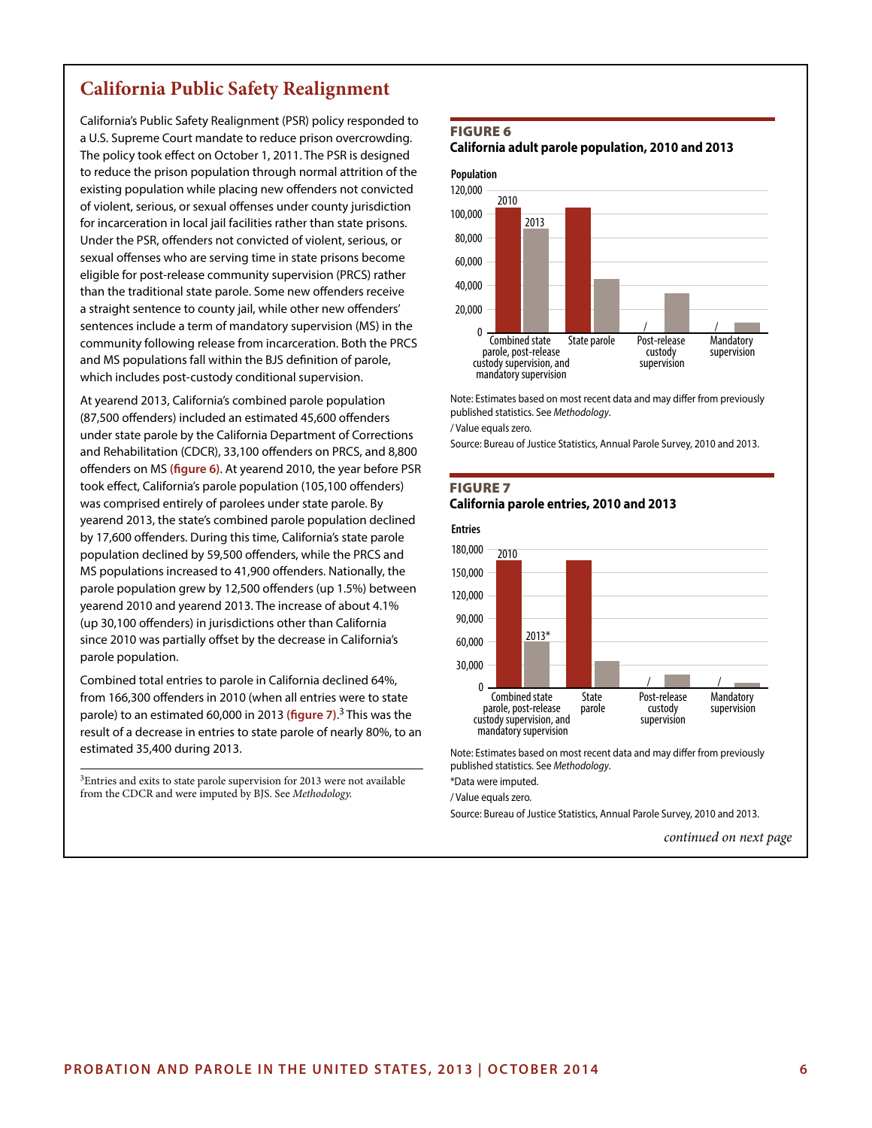# **California Public Safety Realignment**

California's Public Safety Realignment (PSR) policy responded to a U.S. Supreme Court mandate to reduce prison overcrowding. The policy took effect on October 1, 2011. The PSR is designed to reduce the prison population through normal attrition of the existing population while placing new offenders not convicted of violent, serious, or sexual offenses under county jurisdiction for incarceration in local jail facilities rather than state prisons. Under the PSR, offenders not convicted of violent, serious, or sexual offenses who are serving time in state prisons become eligible for post-release community supervision (PRCS) rather than the traditional state parole. Some new offenders receive a straight sentence to county jail, while other new offenders' sentences include a term of mandatory supervision (MS) in the community following release from incarceration. Both the PRCS and MS populations fall within the BJS definition of parole, which includes post-custody conditional supervision.

At yearend 2013, California's combined parole population (87,500 offenders) included an estimated 45,600 offenders under state parole by the California Department of Corrections and Rehabilitation (CDCR), 33,100 offenders on PRCS, and 8,800 offenders on MS **(figure 6)**. At yearend 2010, the year before PSR took effect, California's parole population (105,100 offenders) was comprised entirely of parolees under state parole. By yearend 2013, the state's combined parole population declined by 17,600 offenders. During this time, California's state parole population declined by 59,500 offenders, while the PRCS and MS populations increased to 41,900 offenders. Nationally, the parole population grew by 12,500 offenders (up 1.5%) between yearend 2010 and yearend 2013. The increase of about 4.1% (up 30,100 offenders) in jurisdictions other than California since 2010 was partially offset by the decrease in California's parole population.

Combined total entries to parole in California declined 64%, from 166,300 offenders in 2010 (when all entries were to state parole) to an estimated 60,000 in 2013 **(figure 7)**. 3 This was the result of a decrease in entries to state parole of nearly 80%, to an estimated 35,400 during 2013.

<sup>3</sup>Entries and exits to state parole supervision for 2013 were not available from the CDCR and were imputed by BJS. See *Methodology.*

#### FIGURE 6

**California adult parole population, 2010 and 2013**



Note: Estimates based on most recent data and may differ from previously published statistics. See *Methodology*.

/ Value equals zero.

Source: Bureau of Justice Statistics, Annual Parole Survey, 2010 and 2013.

#### FIGURE 7 **California parole entries, 2010 and 2013**



Note: Estimates based on most recent data and may differ from previously published statistics. See *Methodology*.

\*Data were imputed.

/ Value equals zero.

Source: Bureau of Justice Statistics, Annual Parole Survey, 2010 and 2013.

*continued on next page*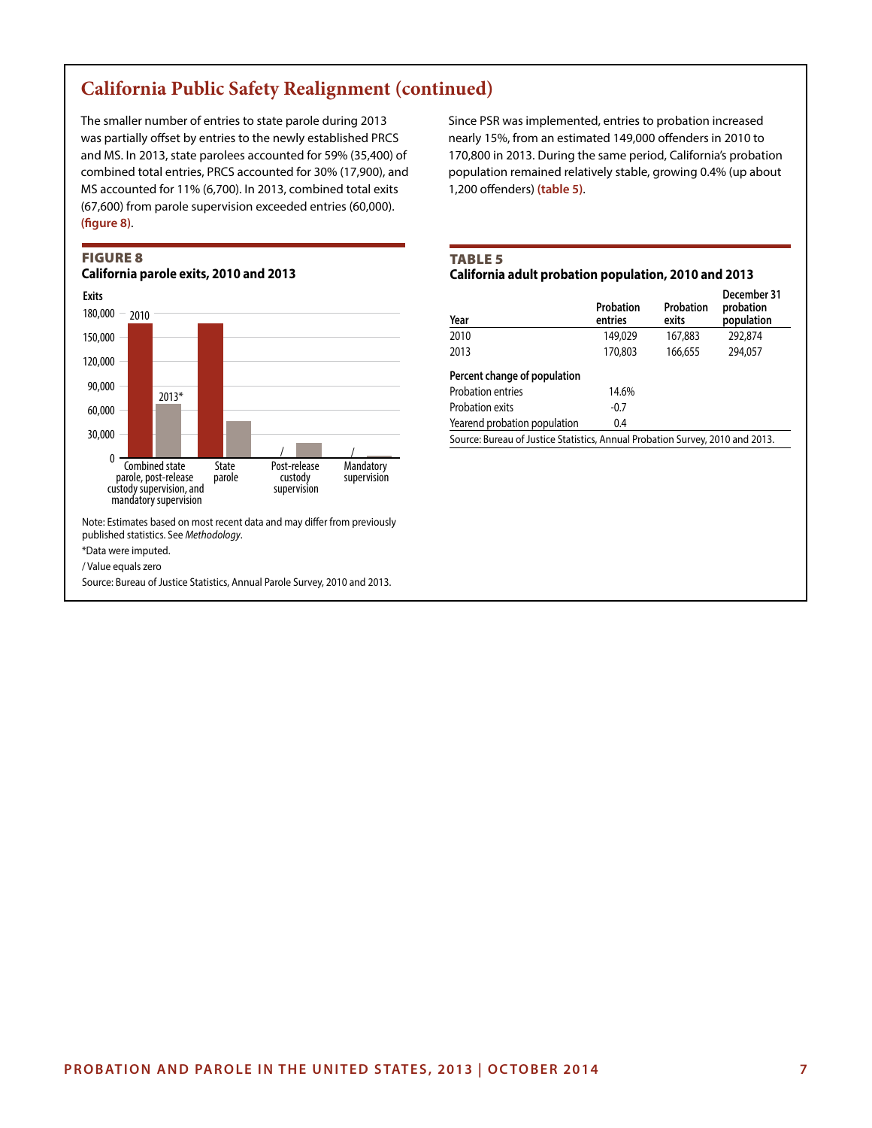# **California Public Safety Realignment (continued)**

The smaller number of entries to state parole during 2013 was partially offset by entries to the newly established PRCS and MS. In 2013, state parolees accounted for 59% (35,400) of combined total entries, PRCS accounted for 30% (17,900), and MS accounted for 11% (6,700). In 2013, combined total exits (67,600) from parole supervision exceeded entries (60,000). **(figure 8)**.

# FIGURE 8





\*Data were imputed.

/ Value equals zero

Source: Bureau of Justice Statistics, Annual Parole Survey, 2010 and 2013.

Since PSR was implemented, entries to probation increased nearly 15%, from an estimated 149,000 offenders in 2010 to 170,800 in 2013. During the same period, California's probation population remained relatively stable, growing 0.4% (up about 1,200 offenders) **(table 5)**.

# TABLE 5

#### **California adult probation population, 2010 and 2013**

|                                                                               |         | population       |  |  |  |  |  |
|-------------------------------------------------------------------------------|---------|------------------|--|--|--|--|--|
| 149,029                                                                       | 167,883 | 292,874          |  |  |  |  |  |
| 170,803                                                                       | 166,655 | 294.057          |  |  |  |  |  |
|                                                                               |         |                  |  |  |  |  |  |
| 14.6%                                                                         |         |                  |  |  |  |  |  |
| $-0.7$                                                                        |         |                  |  |  |  |  |  |
| 0.4                                                                           |         |                  |  |  |  |  |  |
| Source: Bureau of Justice Statistics, Annual Probation Survey, 2010 and 2013. |         |                  |  |  |  |  |  |
|                                                                               |         | exits<br>entries |  |  |  |  |  |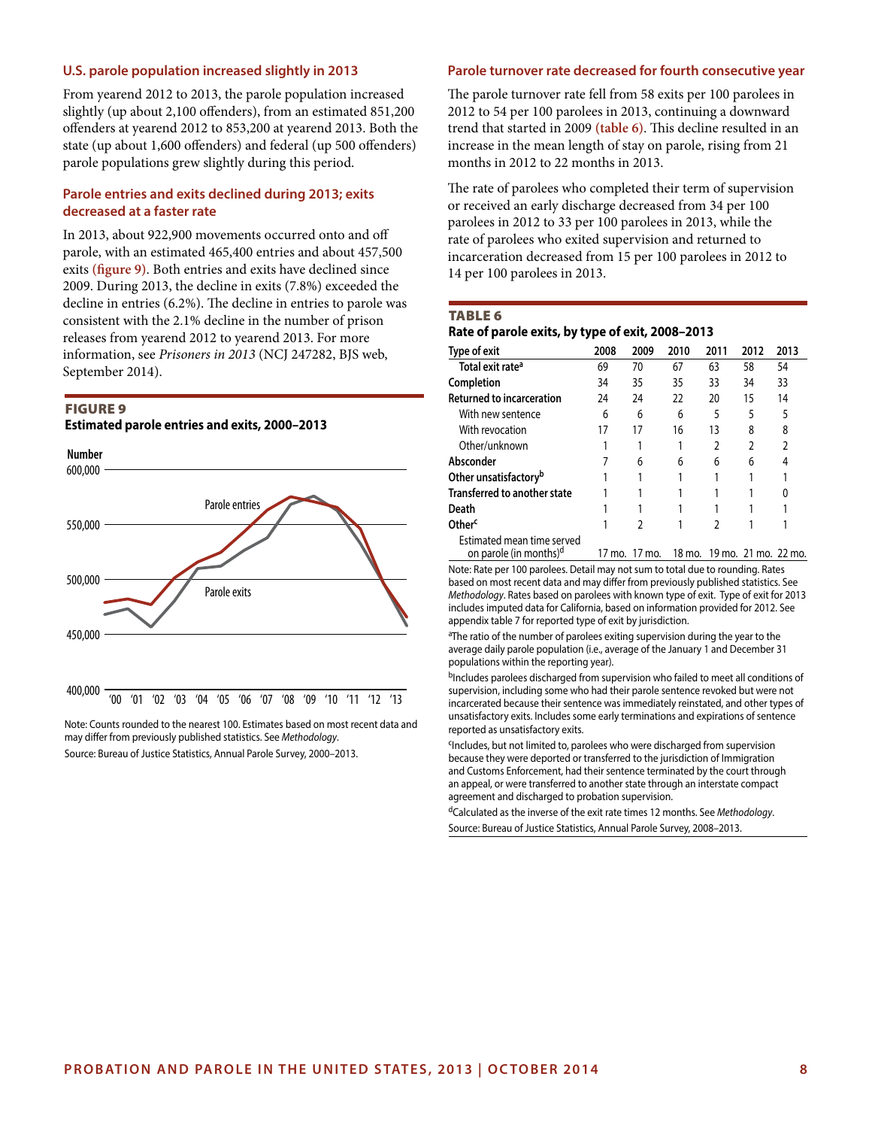## **U.S. parole population increased slightly in 2013**

From yearend 2012 to 2013, the parole population increased slightly (up about 2,100 offenders), from an estimated 851,200 offenders at yearend 2012 to 853,200 at yearend 2013. Both the state (up about 1,600 offenders) and federal (up 500 offenders) parole populations grew slightly during this period.

#### **Parole entries and exits declined during 2013; exits decreased at a faster rate**

In 2013, about 922,900 movements occurred onto and off parole, with an estimated 465,400 entries and about 457,500 exits **(figure 9)**. Both entries and exits have declined since 2009. During 2013, the decline in exits (7.8%) exceeded the decline in entries (6.2%). The decline in entries to parole was consistent with the 2.1% decline in the number of prison releases from yearend 2012 to yearend 2013. For more information, see *Prisoners in 2013* (NCJ 247282, BJS web, September 2014).

# FIGURE 9

**Estimated parole entries and exits, 2000–2013**



Note: Counts rounded to the nearest 100. Estimates based on most recent data and may differ from previously published statistics. See *Methodology*. Source: Bureau of Justice Statistics, Annual Parole Survey, 2000–2013.

#### **Parole turnover rate decreased for fourth consecutive year**

The parole turnover rate fell from 58 exits per 100 parolees in 2012 to 54 per 100 parolees in 2013, continuing a downward trend that started in 2009 **(table 6)**. This decline resulted in an increase in the mean length of stay on parole, rising from 21 months in 2012 to 22 months in 2013.

The rate of parolees who completed their term of supervision or received an early discharge decreased from 34 per 100 parolees in 2012 to 33 per 100 parolees in 2013, while the rate of parolees who exited supervision and returned to incarceration decreased from 15 per 100 parolees in 2012 to 14 per 100 parolees in 2013.

#### TABLE 6

#### **Rate of parole exits, by type of exit, 2008–2013**

| Type of exit                        | 2008 | 2009 | 2010 | 2011           | 2012 | 2013 |
|-------------------------------------|------|------|------|----------------|------|------|
| Total exit rate <sup>a</sup>        | 69   | 70   | 67   | 63             | 58   | 54   |
| Completion                          | 34   | 35   | 35   | 33             | 34   | 33   |
| <b>Returned to incarceration</b>    | 24   | 24   | 22   | 20             | 15   | 14   |
| With new sentence                   | 6    | 6    | 6    | 5              | 5    | 5    |
| With revocation                     | 17   | 17   | 16   | 13             | 8    | 8    |
| Other/unknown                       |      |      |      | $\overline{2}$ |      | 2    |
| Absconder                           |      | 6    | 6    | 6              | 6    | 4    |
| Other unsatisfactory <sup>b</sup>   |      |      |      |                |      |      |
| <b>Transferred to another state</b> |      |      |      |                |      | 0    |
| Death                               |      |      |      |                |      |      |
| Other <sup>c</sup>                  |      | 2    |      | ς              |      |      |
| Estimated mean time served          |      |      |      |                |      |      |

on parole (in months)<sup>d</sup> 17 mo. 17 mo. 18 mo. 19 mo. 21 mo. 22 mo. Note: Rate per 100 parolees. Detail may not sum to total due to rounding. Rates based on most recent data and may differ from previously published statistics. See *Methodology*. Rates based on parolees with known type of exit. Type of exit for 2013 includes imputed data for California, based on information provided for 2012. See appendix table 7 for reported type of exit by jurisdiction.

<sup>a</sup>The ratio of the number of parolees exiting supervision during the year to the average daily parole population (i.e., average of the January 1 and December 31 populations within the reporting year).

bIncludes parolees discharged from supervision who failed to meet all conditions of supervision, including some who had their parole sentence revoked but were not incarcerated because their sentence was immediately reinstated, and other types of unsatisfactory exits. Includes some early terminations and expirations of sentence reported as unsatisfactory exits.

<sup>c</sup>Includes, but not limited to, parolees who were discharged from supervision because they were deported or transferred to the jurisdiction of Immigration and Customs Enforcement, had their sentence terminated by the court through an appeal, or were transferred to another state through an interstate compact agreement and discharged to probation supervision.

dCalculated as the inverse of the exit rate times 12 months. See *Methodology*. Source: Bureau of Justice Statistics, Annual Parole Survey, 2008–2013.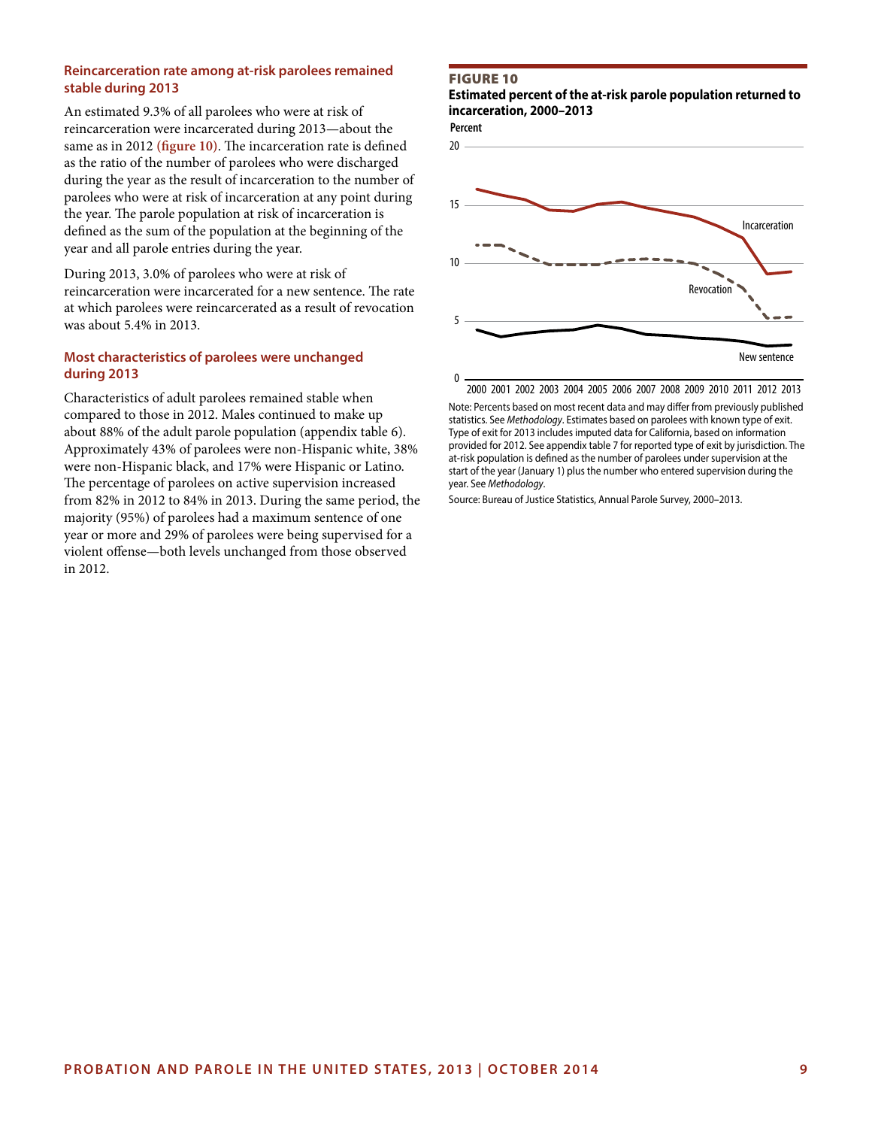#### **Reincarceration rate among at-risk parolees remained stable during 2013**

An estimated 9.3% of all parolees who were at risk of reincarceration were incarcerated during 2013—about the same as in 2012 **(figure 10)**. The incarceration rate is defined as the ratio of the number of parolees who were discharged during the year as the result of incarceration to the number of parolees who were at risk of incarceration at any point during the year. The parole population at risk of incarceration is defined as the sum of the population at the beginning of the year and all parole entries during the year.

During 2013, 3.0% of parolees who were at risk of reincarceration were incarcerated for a new sentence. The rate at which parolees were reincarcerated as a result of revocation was about 5.4% in 2013.

## **Most characteristics of parolees were unchanged during 2013**

Characteristics of adult parolees remained stable when compared to those in 2012. Males continued to make up about 88% of the adult parole population (appendix table 6). Approximately 43% of parolees were non-Hispanic white, 38% were non-Hispanic black, and 17% were Hispanic or Latino. The percentage of parolees on active supervision increased from 82% in 2012 to 84% in 2013. During the same period, the majority (95%) of parolees had a maximum sentence of one year or more and 29% of parolees were being supervised for a violent offense—both levels unchanged from those observed in 2012.

#### FIGURE 10

**Estimated percent of the at-risk parole population returned to incarceration, 2000–2013**

**Percent**



2000 2001 2002 2003 2004 2005 2006 2007 2008 2009 2010 2011 2012 2013

Note: Percents based on most recent data and may differ from previously published statistics. See *Methodology*. Estimates based on parolees with known type of exit. Type of exit for 2013 includes imputed data for California, based on information provided for 2012. See appendix table 7 for reported type of exit by jurisdiction. The at-risk population is defined as the number of parolees under supervision at the start of the year (January 1) plus the number who entered supervision during the year. See *Methodology*.

Source: Bureau of Justice Statistics, Annual Parole Survey, 2000–2013.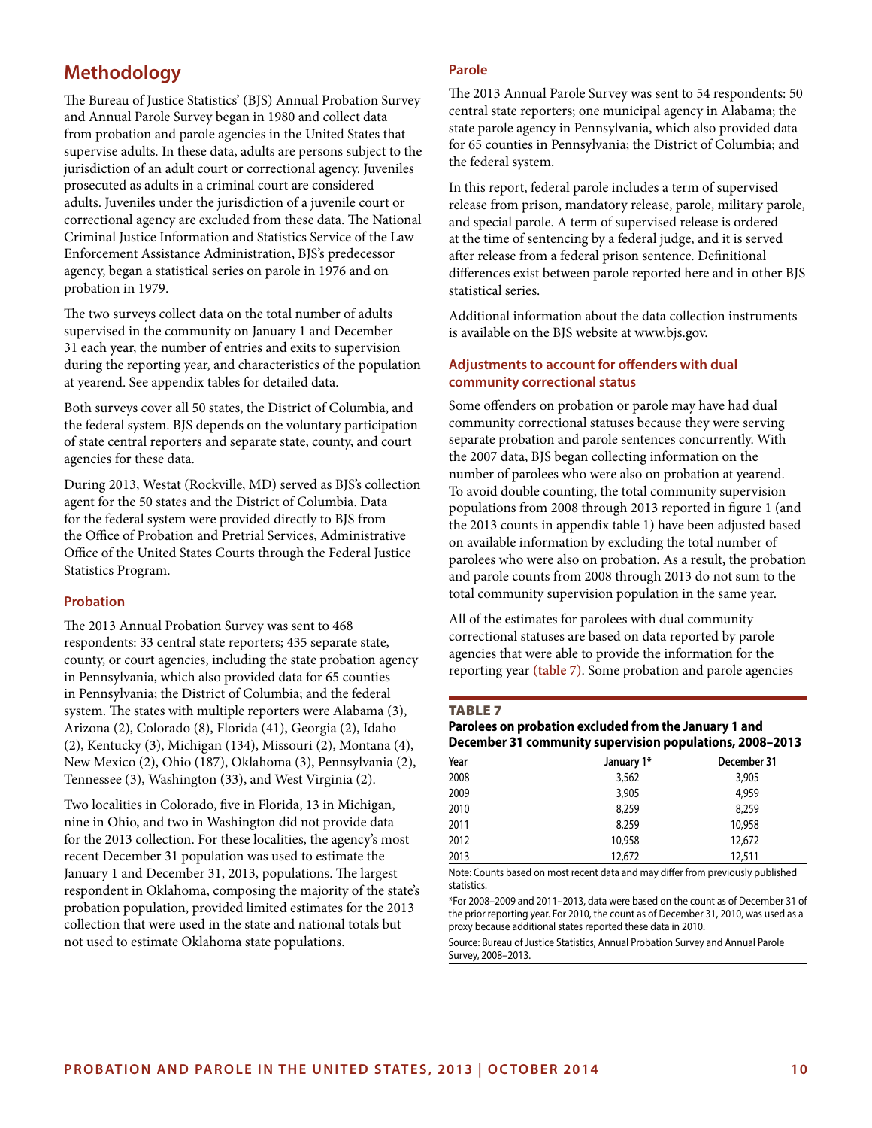# **Methodology**

The Bureau of Justice Statistics' (BJS) Annual Probation Survey and Annual Parole Survey began in 1980 and collect data from probation and parole agencies in the United States that supervise adults. In these data, adults are persons subject to the jurisdiction of an adult court or correctional agency. Juveniles prosecuted as adults in a criminal court are considered adults. Juveniles under the jurisdiction of a juvenile court or correctional agency are excluded from these data. The National Criminal Justice Information and Statistics Service of the Law Enforcement Assistance Administration, BJS's predecessor agency, began a statistical series on parole in 1976 and on probation in 1979.

The two surveys collect data on the total number of adults supervised in the community on January 1 and December 31 each year, the number of entries and exits to supervision during the reporting year, and characteristics of the population at yearend. See appendix tables for detailed data.

Both surveys cover all 50 states, the District of Columbia, and the federal system. BJS depends on the voluntary participation of state central reporters and separate state, county, and court agencies for these data.

During 2013, Westat (Rockville, MD) served as BJS's collection agent for the 50 states and the District of Columbia. Data for the federal system were provided directly to BJS from the Office of Probation and Pretrial Services, Administrative Office of the United States Courts through the Federal Justice Statistics Program.

## **Probation**

The 2013 Annual Probation Survey was sent to 468 respondents: 33 central state reporters; 435 separate state, county, or court agencies, including the state probation agency in Pennsylvania, which also provided data for 65 counties in Pennsylvania; the District of Columbia; and the federal system. The states with multiple reporters were Alabama (3), Arizona (2), Colorado (8), Florida (41), Georgia (2), Idaho (2), Kentucky (3), Michigan (134), Missouri (2), Montana (4), New Mexico (2), Ohio (187), Oklahoma (3), Pennsylvania (2), Tennessee (3), Washington (33), and West Virginia (2).

Two localities in Colorado, five in Florida, 13 in Michigan, nine in Ohio, and two in Washington did not provide data for the 2013 collection. For these localities, the agency's most recent December 31 population was used to estimate the January 1 and December 31, 2013, populations. The largest respondent in Oklahoma, composing the majority of the state's probation population, provided limited estimates for the 2013 collection that were used in the state and national totals but not used to estimate Oklahoma state populations.

## **Parole**

The 2013 Annual Parole Survey was sent to 54 respondents: 50 central state reporters; one municipal agency in Alabama; the state parole agency in Pennsylvania, which also provided data for 65 counties in Pennsylvania; the District of Columbia; and the federal system.

In this report, federal parole includes a term of supervised release from prison, mandatory release, parole, military parole, and special parole. A term of supervised release is ordered at the time of sentencing by a federal judge, and it is served after release from a federal prison sentence. Definitional differences exist between parole reported here and in other BJS statistical series.

Additional information about the data collection instruments is available on the BJS website at www.bjs.gov.

#### **Adjustments to account for offenders with dual community correctional status**

Some offenders on probation or parole may have had dual community correctional statuses because they were serving separate probation and parole sentences concurrently. With the 2007 data, BJS began collecting information on the number of parolees who were also on probation at yearend. To avoid double counting, the total community supervision populations from 2008 through 2013 reported in figure 1 (and the 2013 counts in appendix table 1) have been adjusted based on available information by excluding the total number of parolees who were also on probation. As a result, the probation and parole counts from 2008 through 2013 do not sum to the total community supervision population in the same year.

All of the estimates for parolees with dual community correctional statuses are based on data reported by parole agencies that were able to provide the information for the reporting year **(table 7)**. Some probation and parole agencies

#### TABLE 7

# **Parolees on probation excluded from the January 1 and December 31 community supervision populations, 2008–2013**

| Year | January 1* | December 31 |
|------|------------|-------------|
| 2008 | 3,562      | 3,905       |
| 2009 | 3,905      | 4.959       |
| 2010 | 8.259      | 8.259       |
| 2011 | 8,259      | 10,958      |
| 2012 | 10,958     | 12,672      |
| 2013 | 12,672     | 12,511      |

Note: Counts based on most recent data and may differ from previously published statistics.

\*For 2008–2009 and 2011–2013, data were based on the count as of December 31 of the prior reporting year. For 2010, the count as of December 31, 2010, was used as a proxy because additional states reported these data in 2010.

Source: Bureau of Justice Statistics, Annual Probation Survey and Annual Parole Survey, 2008–2013.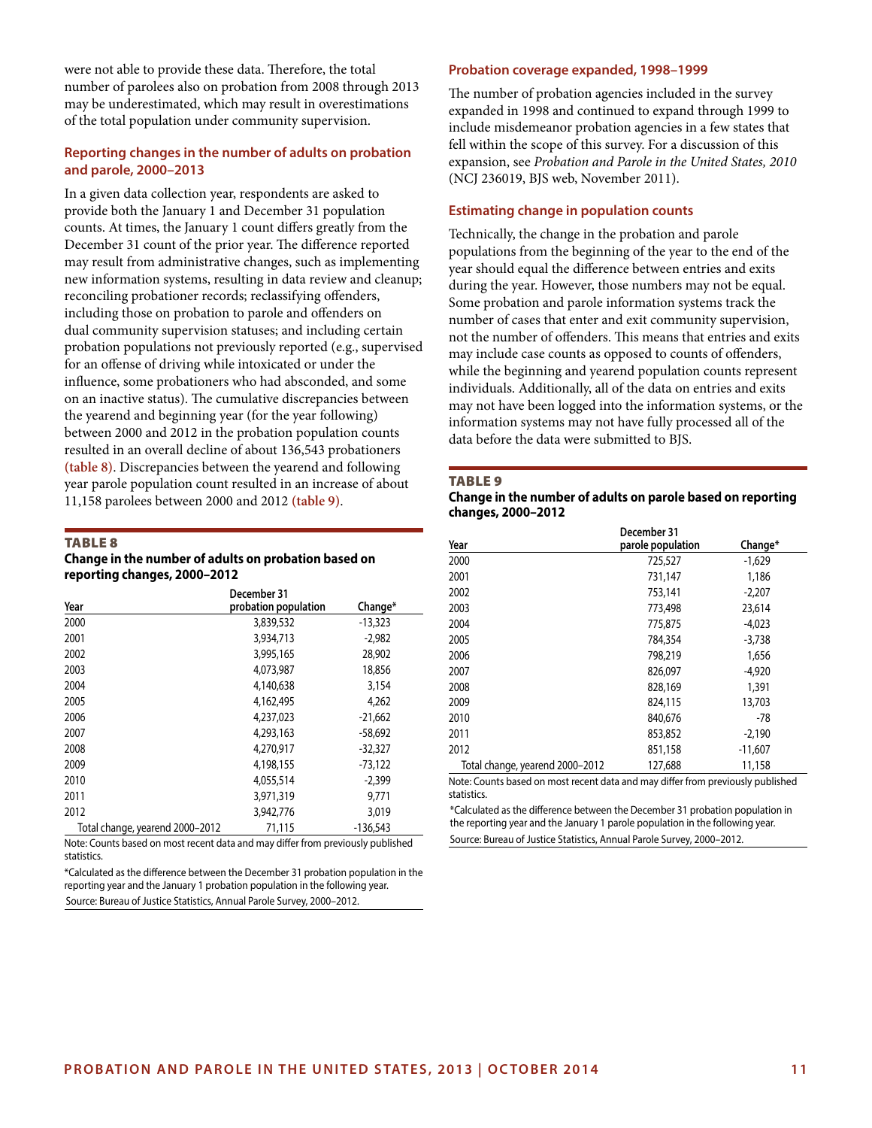were not able to provide these data. Therefore, the total number of parolees also on probation from 2008 through 2013 may be underestimated, which may result in overestimations of the total population under community supervision.

#### **Reporting changes in the number of adults on probation and parole, 2000–2013**

In a given data collection year, respondents are asked to provide both the January 1 and December 31 population counts. At times, the January 1 count differs greatly from the December 31 count of the prior year. The difference reported may result from administrative changes, such as implementing new information systems, resulting in data review and cleanup; reconciling probationer records; reclassifying offenders, including those on probation to parole and offenders on dual community supervision statuses; and including certain probation populations not previously reported (e.g., supervised for an offense of driving while intoxicated or under the influence, some probationers who had absconded, and some on an inactive status). The cumulative discrepancies between the yearend and beginning year (for the year following) between 2000 and 2012 in the probation population counts resulted in an overall decline of about 136,543 probationers **(table 8)**. Discrepancies between the yearend and following year parole population count resulted in an increase of about 11,158 parolees between 2000 and 2012 **(table 9)**.

#### TABLE 8

#### **Change in the number of adults on probation based on reporting changes, 2000–2012**

|                                 | December 31          |            |
|---------------------------------|----------------------|------------|
| Year                            | probation population | Change*    |
| 2000                            | 3,839,532            | $-13,323$  |
| 2001                            | 3,934,713            | $-2,982$   |
| 2002                            | 3,995,165            | 28,902     |
| 2003                            | 4,073,987            | 18,856     |
| 2004                            | 4,140,638            | 3,154      |
| 2005                            | 4,162,495            | 4,262      |
| 2006                            | 4,237,023            | $-21,662$  |
| 2007                            | 4,293,163            | $-58,692$  |
| 2008                            | 4,270,917            | $-32,327$  |
| 2009                            | 4,198,155            | $-73,122$  |
| 2010                            | 4,055,514            | $-2.399$   |
| 2011                            | 3,971,319            | 9.771      |
| 2012                            | 3,942,776            | 3,019      |
| Total change, yearend 2000–2012 | 71.115               | $-136,543$ |

Note: Counts based on most recent data and may differ from previously published **statistics** 

\*Calculated as the difference between the December 31 probation population in the reporting year and the January 1 probation population in the following year. Source: Bureau of Justice Statistics, Annual Parole Survey, 2000–2012.

#### **Probation coverage expanded, 1998–1999**

The number of probation agencies included in the survey expanded in 1998 and continued to expand through 1999 to include misdemeanor probation agencies in a few states that fell within the scope of this survey. For a discussion of this expansion, see *Probation and Parole in the United States, 2010* (NCJ 236019, BJS web, November 2011).

#### **Estimating change in population counts**

Technically, the change in the probation and parole populations from the beginning of the year to the end of the year should equal the difference between entries and exits during the year. However, those numbers may not be equal. Some probation and parole information systems track the number of cases that enter and exit community supervision, not the number of offenders. This means that entries and exits may include case counts as opposed to counts of offenders, while the beginning and yearend population counts represent individuals. Additionally, all of the data on entries and exits may not have been logged into the information systems, or the information systems may not have fully processed all of the data before the data were submitted to BJS.

#### TABLE 9

#### **Change in the number of adults on parole based on reporting changes, 2000–2012**

|                                 | December 31       |           |
|---------------------------------|-------------------|-----------|
| Year                            | parole population | Change*   |
| 2000                            | 725,527           | $-1,629$  |
| 2001                            | 731,147           | 1,186     |
| 2002                            | 753,141           | $-2,207$  |
| 2003                            | 773,498           | 23,614    |
| 2004                            | 775,875           | $-4.023$  |
| 2005                            | 784,354           | $-3,738$  |
| 2006                            | 798,219           | 1,656     |
| 2007                            | 826,097           | $-4,920$  |
| 2008                            | 828,169           | 1,391     |
| 2009                            | 824,115           | 13,703    |
| 2010                            | 840.676           | $-78$     |
| 2011                            | 853,852           | $-2,190$  |
| 2012                            | 851,158           | $-11,607$ |
| Total change, yearend 2000-2012 | 127,688           | 11,158    |
|                                 |                   |           |

Note: Counts based on most recent data and may differ from previously published statistics.

\*Calculated as the difference between the December 31 probation population in the reporting year and the January 1 parole population in the following year. Source: Bureau of Justice Statistics, Annual Parole Survey, 2000–2012.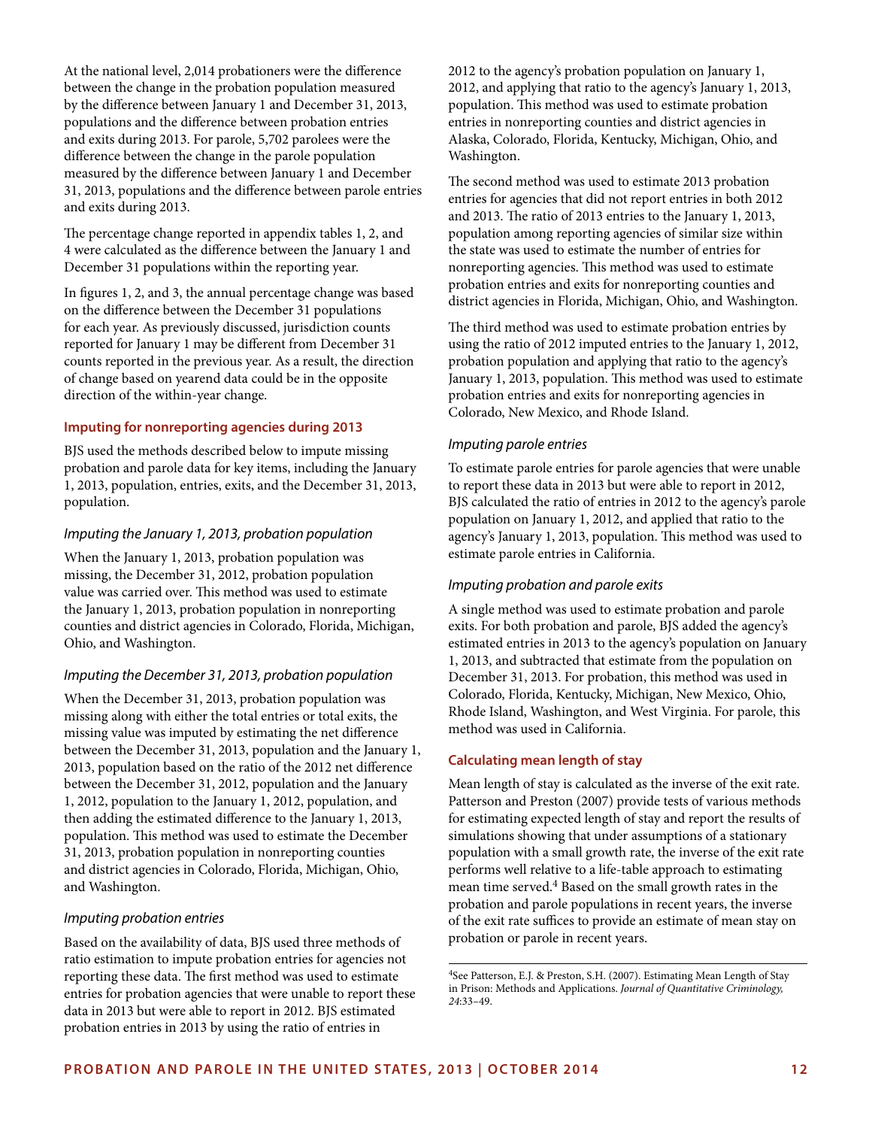At the national level, 2,014 probationers were the difference between the change in the probation population measured by the difference between January 1 and December 31, 2013, populations and the difference between probation entries and exits during 2013. For parole, 5,702 parolees were the difference between the change in the parole population measured by the difference between January 1 and December 31, 2013, populations and the difference between parole entries and exits during 2013.

The percentage change reported in appendix tables 1, 2, and 4 were calculated as the difference between the January 1 and December 31 populations within the reporting year.

In figures 1, 2, and 3, the annual percentage change was based on the difference between the December 31 populations for each year. As previously discussed, jurisdiction counts reported for January 1 may be different from December 31 counts reported in the previous year. As a result, the direction of change based on yearend data could be in the opposite direction of the within-year change.

#### **Imputing for nonreporting agencies during 2013**

BJS used the methods described below to impute missing probation and parole data for key items, including the January 1, 2013, population, entries, exits, and the December 31, 2013, population.

#### *Imputing the January 1, 2013, probation population*

When the January 1, 2013, probation population was missing, the December 31, 2012, probation population value was carried over. This method was used to estimate the January 1, 2013, probation population in nonreporting counties and district agencies in Colorado, Florida, Michigan, Ohio, and Washington.

## *Imputing the December 31, 2013, probation population*

When the December 31, 2013, probation population was missing along with either the total entries or total exits, the missing value was imputed by estimating the net difference between the December 31, 2013, population and the January 1, 2013, population based on the ratio of the 2012 net difference between the December 31, 2012, population and the January 1, 2012, population to the January 1, 2012, population, and then adding the estimated difference to the January 1, 2013, population. This method was used to estimate the December 31, 2013, probation population in nonreporting counties and district agencies in Colorado, Florida, Michigan, Ohio, and Washington.

## *Imputing probation entries*

Based on the availability of data, BJS used three methods of ratio estimation to impute probation entries for agencies not reporting these data. The first method was used to estimate entries for probation agencies that were unable to report these data in 2013 but were able to report in 2012. BJS estimated probation entries in 2013 by using the ratio of entries in

2012 to the agency's probation population on January 1, 2012, and applying that ratio to the agency's January 1, 2013, population. This method was used to estimate probation entries in nonreporting counties and district agencies in Alaska, Colorado, Florida, Kentucky, Michigan, Ohio, and Washington.

The second method was used to estimate 2013 probation entries for agencies that did not report entries in both 2012 and 2013. The ratio of 2013 entries to the January 1, 2013, population among reporting agencies of similar size within the state was used to estimate the number of entries for nonreporting agencies. This method was used to estimate probation entries and exits for nonreporting counties and district agencies in Florida, Michigan, Ohio, and Washington.

The third method was used to estimate probation entries by using the ratio of 2012 imputed entries to the January 1, 2012, probation population and applying that ratio to the agency's January 1, 2013, population. This method was used to estimate probation entries and exits for nonreporting agencies in Colorado, New Mexico, and Rhode Island.

#### *Imputing parole entries*

To estimate parole entries for parole agencies that were unable to report these data in 2013 but were able to report in 2012, BJS calculated the ratio of entries in 2012 to the agency's parole population on January 1, 2012, and applied that ratio to the agency's January 1, 2013, population. This method was used to estimate parole entries in California.

## *Imputing probation and parole exits*

A single method was used to estimate probation and parole exits. For both probation and parole, BJS added the agency's estimated entries in 2013 to the agency's population on January 1, 2013, and subtracted that estimate from the population on December 31, 2013. For probation, this method was used in Colorado, Florida, Kentucky, Michigan, New Mexico, Ohio, Rhode Island, Washington, and West Virginia. For parole, this method was used in California.

# **Calculating mean length of stay**

Mean length of stay is calculated as the inverse of the exit rate. Patterson and Preston (2007) provide tests of various methods for estimating expected length of stay and report the results of simulations showing that under assumptions of a stationary population with a small growth rate, the inverse of the exit rate performs well relative to a life-table approach to estimating mean time served.4 Based on the small growth rates in the probation and parole populations in recent years, the inverse of the exit rate suffices to provide an estimate of mean stay on probation or parole in recent years.

<sup>4</sup>See Patterson, E.J. & Preston, S.H. (2007). Estimating Mean Length of Stay in Prison: Methods and Applications. *Journal of Quantitative Criminology, 24*:33–49.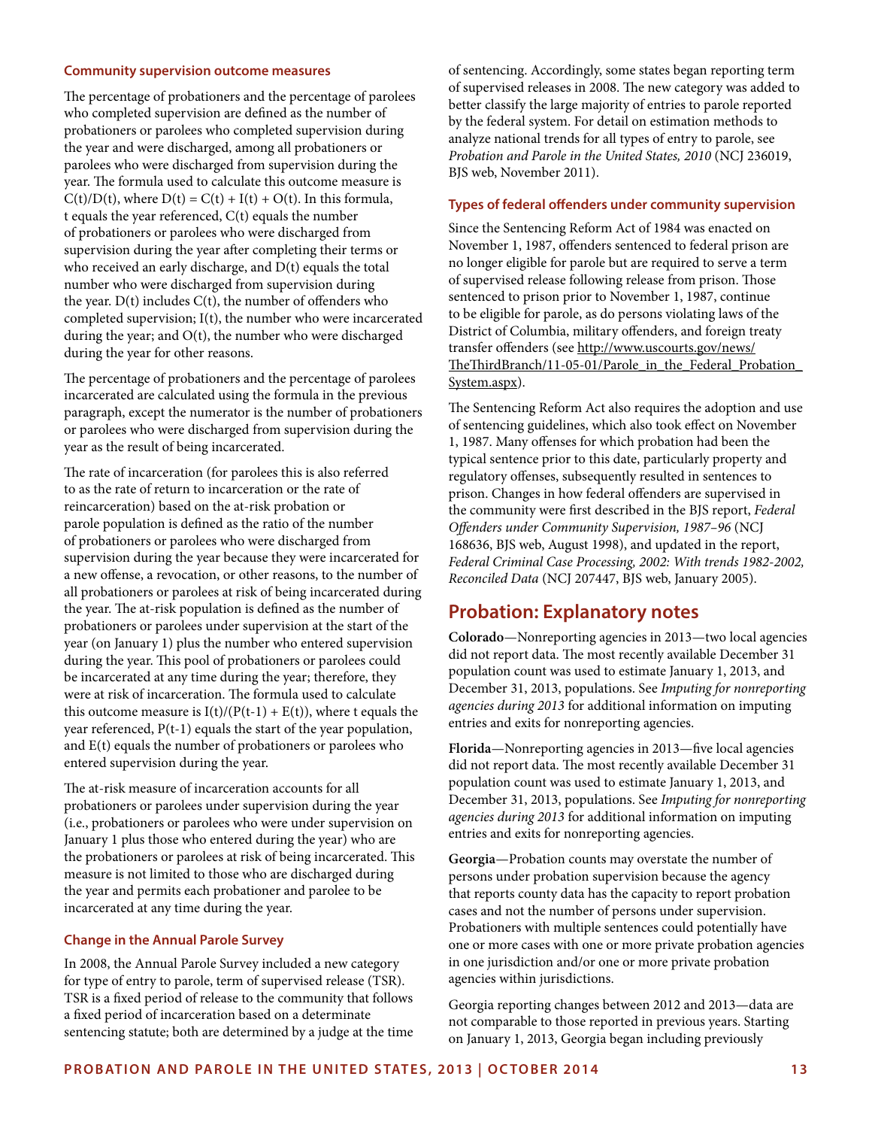#### **Community supervision outcome measures**

The percentage of probationers and the percentage of parolees who completed supervision are defined as the number of probationers or parolees who completed supervision during the year and were discharged, among all probationers or parolees who were discharged from supervision during the year. The formula used to calculate this outcome measure is  $C(t)/D(t)$ , where  $D(t) = C(t) + I(t) + O(t)$ . In this formula, t equals the year referenced, C(t) equals the number of probationers or parolees who were discharged from supervision during the year after completing their terms or who received an early discharge, and D(t) equals the total number who were discharged from supervision during the year.  $D(t)$  includes  $C(t)$ , the number of offenders who completed supervision; I(t), the number who were incarcerated during the year; and O(t), the number who were discharged during the year for other reasons.

The percentage of probationers and the percentage of parolees incarcerated are calculated using the formula in the previous paragraph, except the numerator is the number of probationers or parolees who were discharged from supervision during the year as the result of being incarcerated.

The rate of incarceration (for parolees this is also referred to as the rate of return to incarceration or the rate of reincarceration) based on the at-risk probation or parole population is defined as the ratio of the number of probationers or parolees who were discharged from supervision during the year because they were incarcerated for a new offense, a revocation, or other reasons, to the number of all probationers or parolees at risk of being incarcerated during the year. The at-risk population is defined as the number of probationers or parolees under supervision at the start of the year (on January 1) plus the number who entered supervision during the year. This pool of probationers or parolees could be incarcerated at any time during the year; therefore, they were at risk of incarceration. The formula used to calculate this outcome measure is  $I(t)/(P(t-1) + E(t))$ , where t equals the year referenced, P(t-1) equals the start of the year population, and E(t) equals the number of probationers or parolees who entered supervision during the year.

The at-risk measure of incarceration accounts for all probationers or parolees under supervision during the year (i.e., probationers or parolees who were under supervision on January 1 plus those who entered during the year) who are the probationers or parolees at risk of being incarcerated. This measure is not limited to those who are discharged during the year and permits each probationer and parolee to be incarcerated at any time during the year.

## **Change in the Annual Parole Survey**

In 2008, the Annual Parole Survey included a new category for type of entry to parole, term of supervised release (TSR). TSR is a fixed period of release to the community that follows a fixed period of incarceration based on a determinate sentencing statute; both are determined by a judge at the time of sentencing. Accordingly, some states began reporting term of supervised releases in 2008. The new category was added to better classify the large majority of entries to parole reported by the federal system. For detail on estimation methods to analyze national trends for all types of entry to parole, see *Probation and Parole in the United States, 2010* (NCJ 236019, BJS web, November 2011).

#### **Types of federal offenders under community supervision**

Since the Sentencing Reform Act of 1984 was enacted on November 1, 1987, offenders sentenced to federal prison are no longer eligible for parole but are required to serve a term of supervised release following release from prison. Those sentenced to prison prior to November 1, 1987, continue to be eligible for parole, as do persons violating laws of the District of Columbia, military offenders, and foreign treaty transfer offenders (see [http://www.uscourts.gov/news/](http://www.uscourts.gov/news/TheThirdBranch/11-05-01/Parole_in_the_Federal_Probation_System.aspx) [TheThirdBranch/11-05-01/Parole\\_in\\_the\\_Federal\\_Probation\\_](http://www.uscourts.gov/news/TheThirdBranch/11-05-01/Parole_in_the_Federal_Probation_System.aspx) [System.aspx](http://www.uscourts.gov/news/TheThirdBranch/11-05-01/Parole_in_the_Federal_Probation_System.aspx)).

The Sentencing Reform Act also requires the adoption and use of sentencing guidelines, which also took effect on November 1, 1987. Many offenses for which probation had been the typical sentence prior to this date, particularly property and regulatory offenses, subsequently resulted in sentences to prison. Changes in how federal offenders are supervised in the community were first described in the BJS report, *Federal Offenders under Community Supervision, 1987–96* (NCJ 168636, BJS web, August 1998), and updated in the report, *Federal Criminal Case Processing, 2002: With trends 1982-2002, Reconciled Data* (NCJ 207447, BJS web, January 2005).

# **Probation: Explanatory notes**

**Colorado**—Nonreporting agencies in 2013—two local agencies did not report data. The most recently available December 31 population count was used to estimate January 1, 2013, and December 31, 2013, populations. See *Imputing for nonreporting agencies during 2013* for additional information on imputing entries and exits for nonreporting agencies.

**Florida**—Nonreporting agencies in 2013—five local agencies did not report data. The most recently available December 31 population count was used to estimate January 1, 2013, and December 31, 2013, populations. See *Imputing for nonreporting agencies during 2013* for additional information on imputing entries and exits for nonreporting agencies.

**Georgia**—Probation counts may overstate the number of persons under probation supervision because the agency that reports county data has the capacity to report probation cases and not the number of persons under supervision. Probationers with multiple sentences could potentially have one or more cases with one or more private probation agencies in one jurisdiction and/or one or more private probation agencies within jurisdictions.

Georgia reporting changes between 2012 and 2013—data are not comparable to those reported in previous years. Starting on January 1, 2013, Georgia began including previously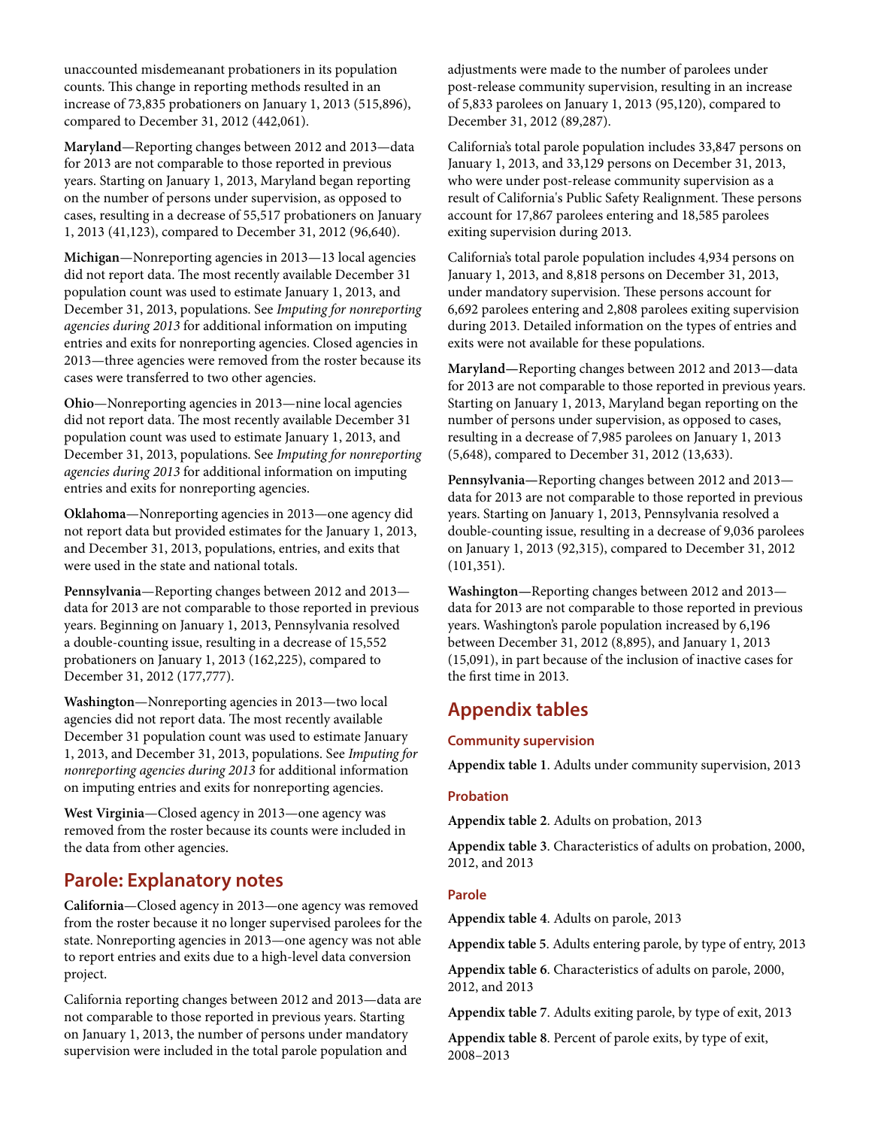unaccounted misdemeanant probationers in its population counts. This change in reporting methods resulted in an increase of 73,835 probationers on January 1, 2013 (515,896), compared to December 31, 2012 (442,061).

**Maryland**—Reporting changes between 2012 and 2013—data for 2013 are not comparable to those reported in previous years. Starting on January 1, 2013, Maryland began reporting on the number of persons under supervision, as opposed to cases, resulting in a decrease of 55,517 probationers on January 1, 2013 (41,123), compared to December 31, 2012 (96,640).

**Michigan**—Nonreporting agencies in 2013—13 local agencies did not report data. The most recently available December 31 population count was used to estimate January 1, 2013, and December 31, 2013, populations. See *Imputing for nonreporting agencies during 2013* for additional information on imputing entries and exits for nonreporting agencies. Closed agencies in 2013—three agencies were removed from the roster because its cases were transferred to two other agencies.

**Ohio**—Nonreporting agencies in 2013—nine local agencies did not report data. The most recently available December 31 population count was used to estimate January 1, 2013, and December 31, 2013, populations. See *Imputing for nonreporting agencies during 2013* for additional information on imputing entries and exits for nonreporting agencies.

**Oklahoma**—Nonreporting agencies in 2013—one agency did not report data but provided estimates for the January 1, 2013, and December 31, 2013, populations, entries, and exits that were used in the state and national totals.

**Pennsylvania**—Reporting changes between 2012 and 2013 data for 2013 are not comparable to those reported in previous years. Beginning on January 1, 2013, Pennsylvania resolved a double-counting issue, resulting in a decrease of 15,552 probationers on January 1, 2013 (162,225), compared to December 31, 2012 (177,777).

**Washington**—Nonreporting agencies in 2013—two local agencies did not report data. The most recently available December 31 population count was used to estimate January 1, 2013, and December 31, 2013, populations. See *Imputing for nonreporting agencies during 2013* for additional information on imputing entries and exits for nonreporting agencies.

**West Virginia**—Closed agency in 2013—one agency was removed from the roster because its counts were included in the data from other agencies.

# **Parole: Explanatory notes**

**California**—Closed agency in 2013—one agency was removed from the roster because it no longer supervised parolees for the state. Nonreporting agencies in 2013—one agency was not able to report entries and exits due to a high-level data conversion project.

California reporting changes between 2012 and 2013—data are not comparable to those reported in previous years. Starting on January 1, 2013, the number of persons under mandatory supervision were included in the total parole population and

adjustments were made to the number of parolees under post-release community supervision, resulting in an increase of 5,833 parolees on January 1, 2013 (95,120), compared to December 31, 2012 (89,287).

California's total parole population includes 33,847 persons on January 1, 2013, and 33,129 persons on December 31, 2013, who were under post-release community supervision as a result of California's Public Safety Realignment. These persons account for 17,867 parolees entering and 18,585 parolees exiting supervision during 2013.

California's total parole population includes 4,934 persons on January 1, 2013, and 8,818 persons on December 31, 2013, under mandatory supervision. These persons account for 6,692 parolees entering and 2,808 parolees exiting supervision during 2013. Detailed information on the types of entries and exits were not available for these populations.

**Maryland—**Reporting changes between 2012 and 2013—data for 2013 are not comparable to those reported in previous years. Starting on January 1, 2013, Maryland began reporting on the number of persons under supervision, as opposed to cases, resulting in a decrease of 7,985 parolees on January 1, 2013 (5,648), compared to December 31, 2012 (13,633).

**Pennsylvania—**Reporting changes between 2012 and 2013 data for 2013 are not comparable to those reported in previous years. Starting on January 1, 2013, Pennsylvania resolved a double-counting issue, resulting in a decrease of 9,036 parolees on January 1, 2013 (92,315), compared to December 31, 2012 (101,351).

**Washington—**Reporting changes between 2012 and 2013 data for 2013 are not comparable to those reported in previous years. Washington's parole population increased by 6,196 between December 31, 2012 (8,895), and January 1, 2013 (15,091), in part because of the inclusion of inactive cases for the first time in 2013.

# **Appendix tables**

# **Community supervision**

**Appendix table 1**. Adults under community supervision, 2013

# **Probation**

**Appendix table 2**. Adults on probation, 2013

**Appendix table 3**. Characteristics of adults on probation, 2000, 2012, and 2013

# **Parole**

**Appendix table 4**. Adults on parole, 2013

**Appendix table 5**. Adults entering parole, by type of entry, 2013

**Appendix table 6**. Characteristics of adults on parole, 2000, 2012, and 2013

**Appendix table 7**. Adults exiting parole, by type of exit, 2013

**Appendix table 8**. Percent of parole exits, by type of exit, 2008–2013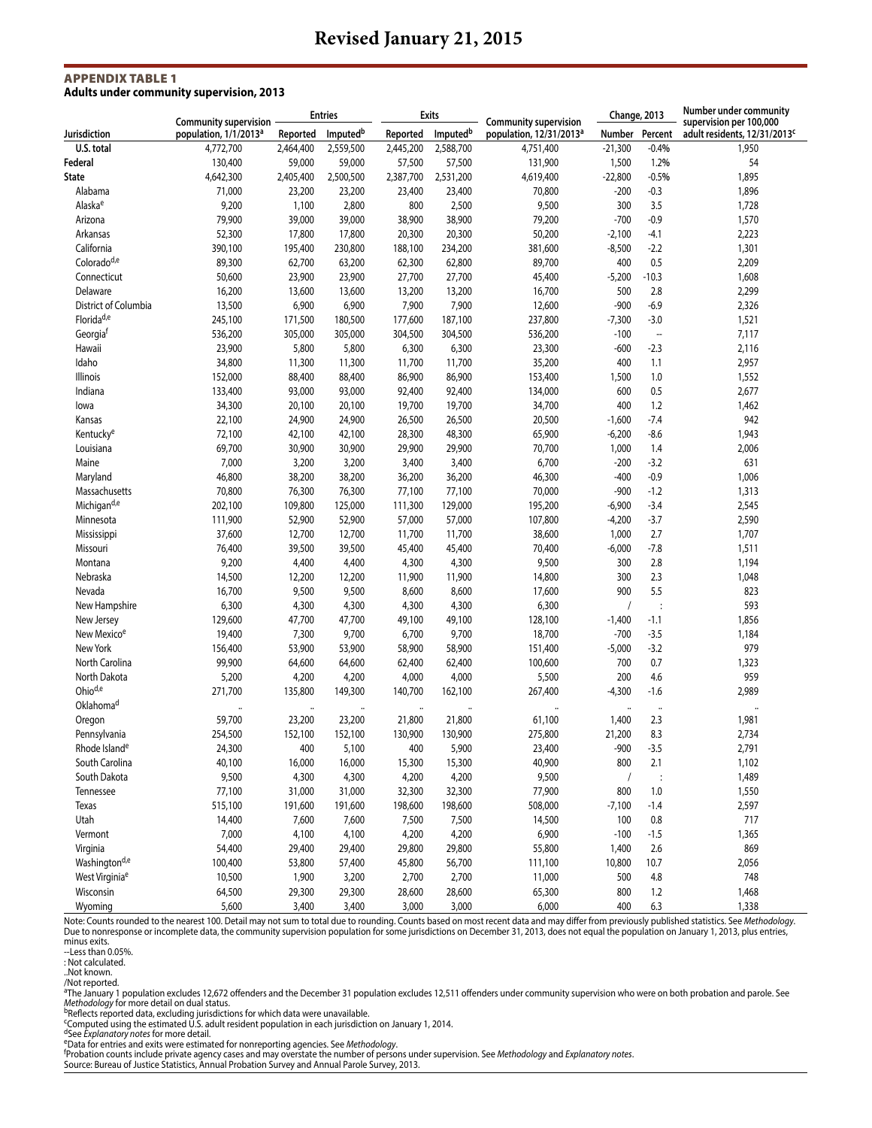#### Appendix Table 1 **Adults under community supervision, 2013**

|                            |                                                                   |           | <b>Entries</b>       |           | <b>Exits</b> |                                                                     | Change, 2013         |                       |                                                                     |  | Number under community |
|----------------------------|-------------------------------------------------------------------|-----------|----------------------|-----------|--------------|---------------------------------------------------------------------|----------------------|-----------------------|---------------------------------------------------------------------|--|------------------------|
| Jurisdiction               | <b>Community supervision</b><br>population, 1/1/2013 <sup>a</sup> | Reported  | Imputed <sup>b</sup> | Reported  | Imputedb     | <b>Community supervision</b><br>population, 12/31/2013 <sup>a</sup> | Number               | Percent               | supervision per 100,000<br>adult residents, 12/31/2013 <sup>c</sup> |  |                        |
| U.S. total                 | 4,772,700                                                         | 2,464,400 | 2,559,500            | 2,445,200 | 2,588,700    | 4,751,400                                                           | $-21,300$            | $-0.4%$               | 1,950                                                               |  |                        |
| Federal                    | 130,400                                                           | 59,000    | 59,000               | 57,500    | 57,500       | 131,900                                                             | 1,500                | 1.2%                  | 54                                                                  |  |                        |
| <b>State</b>               | 4,642,300                                                         | 2,405,400 | 2,500,500            | 2,387,700 | 2,531,200    | 4,619,400                                                           | $-22,800$            | $-0.5%$               | 1,895                                                               |  |                        |
| Alabama                    | 71,000                                                            | 23,200    | 23,200               | 23,400    | 23,400       | 70,800                                                              | $-200$               | $-0.3$                | 1,896                                                               |  |                        |
| Alaska <sup>e</sup>        | 9,200                                                             | 1,100     | 2,800                | 800       | 2,500        | 9,500                                                               | 300                  | 3.5                   | 1,728                                                               |  |                        |
| Arizona                    | 79,900                                                            | 39,000    | 39,000               | 38,900    | 38,900       | 79,200                                                              | $-700$               | $-0.9$                | 1,570                                                               |  |                        |
| Arkansas                   | 52,300                                                            | 17,800    | 17,800               | 20,300    | 20,300       | 50,200                                                              | $-2,100$             | -4.1                  | 2,223                                                               |  |                        |
| California                 | 390,100                                                           | 195,400   | 230,800              | 188,100   | 234,200      | 381,600                                                             | $-8,500$             | $-2.2$                | 1,301                                                               |  |                        |
| Colorado <sup>d,e</sup>    | 89,300                                                            | 62,700    | 63,200               | 62,300    | 62,800       | 89,700                                                              | 400                  | 0.5                   | 2,209                                                               |  |                        |
| Connecticut                | 50,600                                                            | 23,900    | 23,900               | 27,700    | 27,700       | 45,400                                                              | $-5,200$             | $-10.3$               | 1,608                                                               |  |                        |
| Delaware                   | 16,200                                                            | 13,600    | 13,600               | 13,200    | 13,200       | 16,700                                                              | 500                  | 2.8                   | 2,299                                                               |  |                        |
| District of Columbia       | 13,500                                                            | 6,900     | 6,900                | 7,900     | 7,900        | 12,600                                                              | $-900$               | $-6.9$                | 2,326                                                               |  |                        |
| Florida <sup>d,e</sup>     | 245,100                                                           | 171,500   | 180,500              | 177,600   | 187,100      | 237,800                                                             | $-7,300$             | $-3.0$                | 1,521                                                               |  |                        |
| Georgia <sup>t</sup>       | 536,200                                                           | 305,000   | 305,000              | 304,500   | 304,500      | 536,200                                                             | $-100$               | $\ddot{\phantom{a}}$  | 7,117                                                               |  |                        |
| Hawaii                     | 23,900                                                            | 5,800     | 5,800                | 6,300     | 6,300        | 23,300                                                              | $-600$               | $-2.3$                | 2,116                                                               |  |                        |
|                            |                                                                   |           |                      |           |              |                                                                     |                      |                       |                                                                     |  |                        |
| Idaho                      | 34,800                                                            | 11,300    | 11,300               | 11,700    | 11,700       | 35,200                                                              | 400                  | 1.1                   | 2,957                                                               |  |                        |
| Illinois                   | 152,000                                                           | 88,400    | 88,400               | 86,900    | 86,900       | 153,400                                                             | 1,500                | 1.0                   | 1,552                                                               |  |                        |
| Indiana                    | 133,400                                                           | 93,000    | 93,000               | 92,400    | 92,400       | 134,000                                                             | 600                  | 0.5                   | 2,677                                                               |  |                        |
| lowa                       | 34,300                                                            | 20,100    | 20,100               | 19,700    | 19,700       | 34,700                                                              | 400                  | 1.2                   | 1,462                                                               |  |                        |
| Kansas                     | 22,100                                                            | 24,900    | 24,900               | 26,500    | 26,500       | 20,500                                                              | $-1,600$             | $-7.4$                | 942                                                                 |  |                        |
| Kentucky <sup>e</sup>      | 72,100                                                            | 42,100    | 42,100               | 28,300    | 48,300       | 65,900                                                              | $-6,200$             | $-8.6$                | 1,943                                                               |  |                        |
| Louisiana                  | 69,700                                                            | 30,900    | 30,900               | 29,900    | 29,900       | 70,700                                                              | 1,000                | 1.4                   | 2,006                                                               |  |                        |
| Maine                      | 7,000                                                             | 3,200     | 3,200                | 3,400     | 3,400        | 6,700                                                               | $-200$               | $-3.2$                | 631                                                                 |  |                        |
| Maryland                   | 46,800                                                            | 38,200    | 38,200               | 36,200    | 36,200       | 46,300                                                              | $-400$               | $-0.9$                | 1,006                                                               |  |                        |
| Massachusetts              | 70,800                                                            | 76,300    | 76,300               | 77,100    | 77,100       | 70,000                                                              | -900                 | $-1.2$                | 1,313                                                               |  |                        |
| Michigan <sup>d,e</sup>    | 202,100                                                           | 109,800   | 125,000              | 111,300   | 129,000      | 195,200                                                             | $-6,900$             | $-3.4$                | 2,545                                                               |  |                        |
| Minnesota                  | 111,900                                                           | 52,900    | 52,900               | 57,000    | 57,000       | 107,800                                                             | $-4,200$             | $-3.7$                | 2,590                                                               |  |                        |
| Mississippi                | 37,600                                                            | 12,700    | 12,700               | 11,700    | 11,700       | 38,600                                                              | 1,000                | 2.7                   | 1,707                                                               |  |                        |
| Missouri                   | 76,400                                                            | 39,500    | 39,500               | 45,400    | 45,400       | 70,400                                                              | $-6,000$             | $-7.8$                | 1,511                                                               |  |                        |
| Montana                    | 9,200                                                             | 4,400     | 4,400                | 4,300     | 4,300        | 9,500                                                               | 300                  | 2.8                   | 1,194                                                               |  |                        |
| Nebraska                   | 14,500                                                            | 12,200    | 12,200               | 11,900    | 11,900       | 14,800                                                              | 300                  | 2.3                   | 1,048                                                               |  |                        |
| Nevada                     | 16,700                                                            | 9,500     | 9,500                | 8,600     | 8,600        | 17,600                                                              | 900                  | 5.5                   | 823                                                                 |  |                        |
| New Hampshire              | 6,300                                                             | 4,300     | 4,300                | 4,300     | 4,300        | 6,300                                                               | $\sqrt{2}$           | $\cdot$               | 593                                                                 |  |                        |
| New Jersey                 | 129,600                                                           | 47,700    | 47,700               | 49,100    | 49,100       | 128,100                                                             | $-1,400$             | $-1.1$                | 1,856                                                               |  |                        |
| New Mexico <sup>e</sup>    | 19,400                                                            | 7,300     | 9,700                | 6,700     | 9,700        | 18,700                                                              | $-700$               | $-3.5$                | 1,184                                                               |  |                        |
| New York                   | 156,400                                                           | 53,900    | 53,900               | 58,900    | 58,900       | 151,400                                                             | $-5,000$             | $-3.2$                | 979                                                                 |  |                        |
| North Carolina             | 99,900                                                            | 64,600    | 64,600               | 62,400    | 62,400       | 100,600                                                             | 700                  | 0.7                   | 1,323                                                               |  |                        |
| North Dakota               | 5,200                                                             | 4,200     | 4,200                | 4,000     | 4,000        | 5,500                                                               | 200                  | 4.6                   | 959                                                                 |  |                        |
| Ohio <sup>d,e</sup>        | 271,700                                                           | 135,800   | 149,300              | 140,700   | 162,100      | 267,400                                                             | $-4,300$             | $-1.6$                | 2,989                                                               |  |                        |
| Oklahoma <sup>d</sup>      |                                                                   |           |                      |           |              |                                                                     | $\ddot{\phantom{0}}$ |                       |                                                                     |  |                        |
| Oregon                     | 59,700                                                            | 23,200    | 23,200               | 21,800    | 21,800       | 61,100                                                              | 1,400                | 2.3                   | 1,981                                                               |  |                        |
| Pennsylvania               | 254,500                                                           | 152,100   | 152,100              | 130,900   | 130,900      | 275,800                                                             | 21,200               | 8.3                   | 2,734                                                               |  |                        |
| Rhode Island <sup>e</sup>  | 24,300                                                            | 400       | 5,100                | 400       | 5,900        | 23,400                                                              | $-900$               | $-3.5$                | 2,791                                                               |  |                        |
| South Carolina             | 40,100                                                            | 16,000    | 16,000               | 15,300    | 15,300       | 40,900                                                              | 800                  | 2.1                   | 1,102                                                               |  |                        |
| South Dakota               | 9,500                                                             | 4,300     | 4,300                | 4,200     | 4,200        | 9,500                                                               | $\sqrt{2}$           |                       | 1,489                                                               |  |                        |
| Tennessee                  | 77,100                                                            | 31,000    | 31,000               | 32,300    | 32,300       | 77,900                                                              | 800                  | $\ddot{\cdot}$<br>1.0 | 1,550                                                               |  |                        |
|                            |                                                                   |           |                      |           |              |                                                                     |                      |                       |                                                                     |  |                        |
| Texas                      | 515,100                                                           | 191,600   | 191,600              | 198,600   | 198,600      | 508,000                                                             | $-7,100$             | $-1.4$                | 2,597                                                               |  |                        |
| Utah                       | 14,400                                                            | 7,600     | 7,600                | 7,500     | 7,500        | 14,500                                                              | 100                  | $0.8\,$               | 717                                                                 |  |                        |
| Vermont                    | 7,000                                                             | 4,100     | 4,100                | 4,200     | 4,200        | 6,900                                                               | $-100$               | $-1.5$                | 1,365                                                               |  |                        |
| Virginia                   | 54,400                                                            | 29,400    | 29,400               | 29,800    | 29,800       | 55,800                                                              | 1,400                | 2.6                   | 869                                                                 |  |                        |
| Washington <sup>d,e</sup>  | 100,400                                                           | 53,800    | 57,400               | 45,800    | 56,700       | 111,100                                                             | 10,800               | 10.7                  | 2,056                                                               |  |                        |
| West Virginia <sup>e</sup> | 10,500                                                            | 1,900     | 3,200                | 2,700     | 2,700        | 11,000                                                              | 500                  | 4.8                   | 748                                                                 |  |                        |
| Wisconsin                  | 64,500                                                            | 29,300    | 29,300               | 28,600    | 28,600       | 65,300                                                              | 800                  | 1.2                   | 1,468                                                               |  |                        |
| Wyoming                    | 5,600                                                             | 3,400     | 3,400                | 3,000     | 3,000        | 6,000                                                               | 400                  | 6.3                   | 1,338                                                               |  |                        |

Note: Counts rounded to the nearest 100. Detail may not sum to total due to rounding. Counts based on most recent data and may differ from previously published statistics. See *Methodology.*<br>Due to nonresponse or incomplet

minus exits.<br>--Less than 0.05%.

: Not calculated.

..Not known. /Not reported.

<sup>a</sup>The January 1 population excludes 12,672 offenders and the December 31 population excludes 12,511 offenders under community supervision who were on both probation and parole. See *Methodology* for more detail on dual status.<br><sup>5</sup>Reflects reported data, excluding jurisdictions for which data were unavailable.<br>°Computed using the estimated U.S. adult resident population in each jurisdiction on January

<sup>d</sup>See *Explanatory notes* for more detail.<br><sup>e</sup>Data for entries and exits were estimated for nonreporting agencies. See *Methodology.*<br>'Probation counts include private agency cases and may overstate the number of persons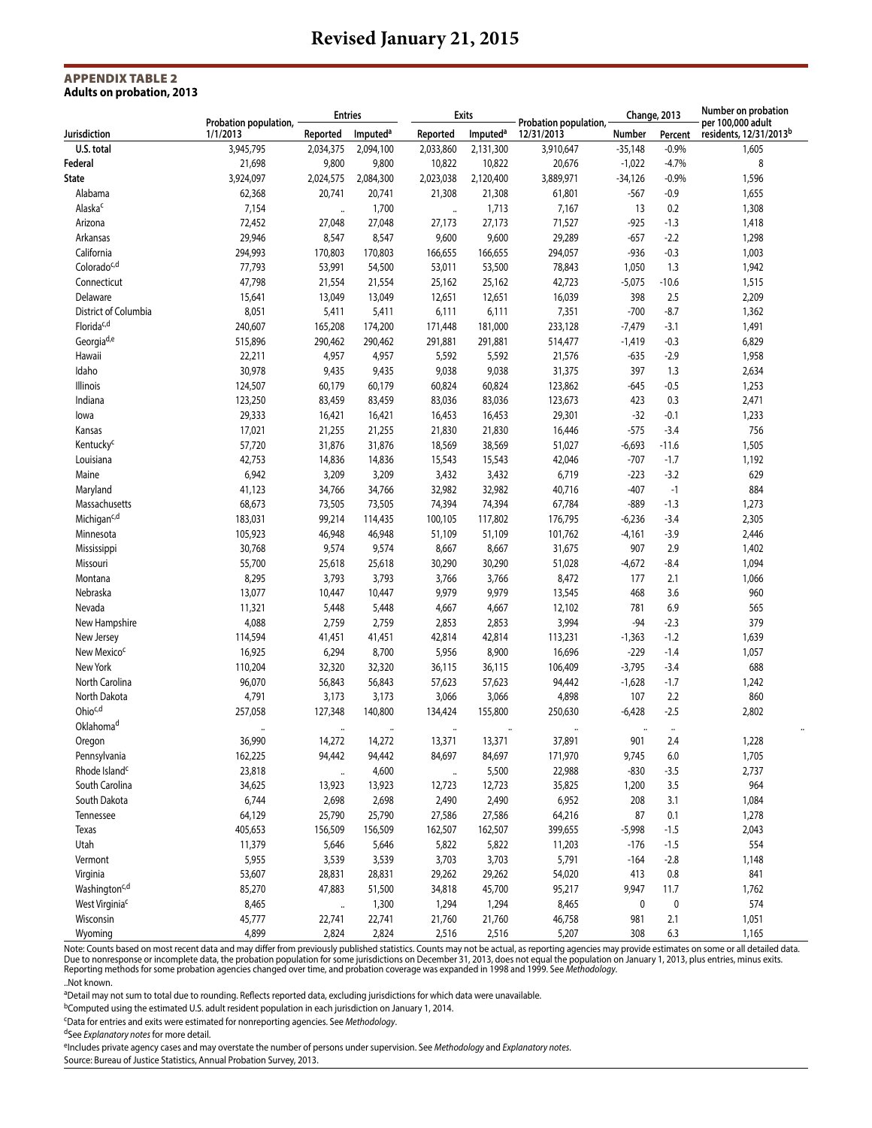#### Appendix Table 2 **Adults on probation, 2013**

|                            |                                   | <b>Entries</b> |                      | <b>Exits</b>         |                      |                                     | Change, 2013 |           | Number on probation<br>per 100,000 adult |  |
|----------------------------|-----------------------------------|----------------|----------------------|----------------------|----------------------|-------------------------------------|--------------|-----------|------------------------------------------|--|
| Jurisdiction               | Probation population,<br>1/1/2013 | Reported       | Imputed <sup>a</sup> | Reported             | Imputed <sup>a</sup> | Probation population,<br>12/31/2013 | Number       | Percent   | residents, 12/31/2013 <sup>b</sup>       |  |
| U.S. total                 | 3,945,795                         | 2,034,375      | 2,094,100            | 2,033,860            | 2,131,300            | 3,910,647                           | $-35,148$    | $-0.9%$   | 1,605                                    |  |
| Federal                    | 21,698                            | 9,800          | 9,800                | 10,822               | 10,822               | 20,676                              | $-1,022$     | $-4.7%$   | 8                                        |  |
| State                      | 3,924,097                         | 2,024,575      | 2,084,300            | 2,023,038            | 2,120,400            | 3,889,971                           | $-34,126$    | $-0.9%$   | 1,596                                    |  |
| Alabama                    | 62,368                            | 20,741         | 20,741               | 21,308               | 21,308               | 61,801                              | -567         | $-0.9$    | 1,655                                    |  |
| Alaska <sup>c</sup>        | 7,154                             |                | 1,700                |                      | 1,713                | 7,167                               | 13           | 0.2       | 1,308                                    |  |
| Arizona                    | 72,452                            | 27,048         | 27,048               | 27,173               | 27,173               | 71,527                              | -925         | $-1.3$    | 1,418                                    |  |
| Arkansas                   | 29,946                            | 8,547          | 8,547                | 9,600                | 9,600                | 29,289                              | $-657$       | $-2.2$    | 1,298                                    |  |
| California                 | 294,993                           | 170,803        | 170,803              | 166,655              | 166,655              | 294,057                             | $-936$       | $-0.3$    | 1,003                                    |  |
| Colorado <sup>c,d</sup>    | 77,793                            | 53,991         | 54,500               | 53,011               | 53,500               | 78,843                              | 1,050        | 1.3       | 1,942                                    |  |
| Connecticut                | 47,798                            | 21,554         | 21,554               | 25,162               | 25,162               | 42,723                              | $-5,075$     | $-10.6$   | 1,515                                    |  |
| Delaware                   | 15,641                            | 13,049         | 13,049               | 12,651               | 12,651               | 16,039                              | 398          | 2.5       | 2,209                                    |  |
| District of Columbia       | 8,051                             | 5,411          | 5,411                | 6,111                | 6,111                | 7,351                               | $-700$       | $-8.7$    | 1,362                                    |  |
| Florida <sup>c,d</sup>     | 240,607                           | 165,208        | 174,200              | 171,448              | 181,000              | 233,128                             | $-7,479$     | $-3.1$    | 1,491                                    |  |
| Georgia <sup>d,e</sup>     | 515,896                           | 290,462        | 290,462              | 291,881              | 291,881              | 514,477                             | $-1,419$     | $-0.3$    | 6,829                                    |  |
| Hawaii                     | 22,211                            | 4,957          | 4,957                | 5,592                | 5,592                | 21,576                              | -635         | -2.9      | 1,958                                    |  |
| Idaho                      | 30,978                            | 9,435          | 9,435                | 9,038                | 9,038                | 31,375                              | 397          | 1.3       | 2,634                                    |  |
| Illinois                   | 124,507                           | 60,179         | 60,179               | 60,824               | 60,824               | 123,862                             | -645         | $-0.5$    | 1,253                                    |  |
| Indiana                    | 123,250                           | 83,459         | 83,459               | 83,036               | 83,036               | 123,673                             | 423          | 0.3       | 2,471                                    |  |
|                            | 29,333                            | 16,421         | 16,421               | 16,453               | 16,453               | 29,301                              | $-32$        | $-0.1$    | 1,233                                    |  |
| lowa                       | 17,021                            |                |                      |                      | 21,830               |                                     | $-575$       | $-3.4$    | 756                                      |  |
| Kansas                     |                                   | 21,255         | 21,255               | 21,830               |                      | 16,446                              |              |           |                                          |  |
| Kentucky <sup>c</sup>      | 57,720                            | 31,876         | 31,876               | 18,569               | 38,569               | 51,027                              | $-6,693$     | -11.6     | 1,505                                    |  |
| Louisiana                  | 42,753                            | 14,836         | 14,836               | 15,543               | 15,543               | 42,046                              | $-707$       | $-1.7$    | 1,192                                    |  |
| Maine                      | 6,942                             | 3,209          | 3,209                | 3,432                | 3,432                | 6,719                               | $-223$       | $-3.2$    | 629                                      |  |
| Maryland                   | 41,123                            | 34,766         | 34,766               | 32,982               | 32,982               | 40,716                              | $-407$       | $-1$      | 884                                      |  |
| Massachusetts              | 68,673                            | 73,505         | 73,505               | 74,394               | 74,394               | 67,784                              | $-889$       | $-1.3$    | 1,273                                    |  |
| Michigan <sup>c,d</sup>    | 183,031                           | 99,214         | 114,435              | 100,105              | 117,802              | 176,795                             | $-6,236$     | $-3.4$    | 2,305                                    |  |
| Minnesota                  | 105,923                           | 46,948         | 46,948               | 51,109               | 51,109               | 101,762                             | $-4,161$     | $-3.9$    | 2,446                                    |  |
| Mississippi                | 30,768                            | 9,574          | 9,574                | 8,667                | 8,667                | 31,675                              | 907          | 2.9       | 1,402                                    |  |
| Missouri                   | 55,700                            | 25,618         | 25,618               | 30,290               | 30,290               | 51,028                              | $-4,672$     | $-8.4$    | 1,094                                    |  |
| Montana                    | 8,295                             | 3,793          | 3,793                | 3,766                | 3,766                | 8,472                               | 177          | 2.1       | 1,066                                    |  |
| Nebraska                   | 13,077                            | 10,447         | 10,447               | 9,979                | 9,979                | 13,545                              | 468          | 3.6       | 960                                      |  |
| Nevada                     | 11,321                            | 5,448          | 5,448                | 4,667                | 4,667                | 12,102                              | 781          | 6.9       | 565                                      |  |
| New Hampshire              | 4,088                             | 2,759          | 2,759                | 2,853                | 2,853                | 3,994                               | $-94$        | $-2.3$    | 379                                      |  |
| New Jersey                 | 114,594                           | 41,451         | 41,451               | 42,814               | 42,814               | 113,231                             | $-1,363$     | $-1.2$    | 1,639                                    |  |
| New Mexico <sup>c</sup>    | 16,925                            | 6,294          | 8,700                | 5,956                | 8,900                | 16,696                              | $-229$       | $-1.4$    | 1,057                                    |  |
| New York                   | 110,204                           | 32,320         | 32,320               | 36,115               | 36,115               | 106,409                             | $-3,795$     | $-3.4$    | 688                                      |  |
| North Carolina             | 96,070                            | 56,843         | 56,843               | 57,623               | 57,623               | 94,442                              | $-1,628$     | $-1.7$    | 1,242                                    |  |
| North Dakota               | 4,791                             | 3,173          | 3,173                | 3,066                | 3,066                | 4,898                               | 107          | 2.2       | 860                                      |  |
| Ohioc,d                    | 257,058                           | 127,348        | 140,800              | 134,424              | 155,800              | 250,630                             | $-6,428$     | $-2.5$    | 2,802                                    |  |
| Oklahoma <sup>d</sup>      |                                   |                |                      | $\ddot{\phantom{a}}$ |                      | $\ddotsc$                           | $\ddotsc$    |           |                                          |  |
| Oregon                     | 36,990                            | 14,272         | 14,272               | 13,371               | 13,371               | 37,891                              | 901          | 2.4       | 1,228                                    |  |
| Pennsylvania               | 162,225                           | 94,442         | 94,442               | 84,697               | 84,697               | 171,970                             | 9,745        | $6.0\,$   | 1,705                                    |  |
| Rhode Island <sup>c</sup>  | 23,818                            |                | 4,600                | $\cdots$             | 5,500                | 22,988                              | $-830$       | $-3.5$    | 2,737                                    |  |
| South Carolina             | 34,625                            | 13,923         | 13,923               | 12,723               | 12,723               | 35,825                              | 1,200        | 3.5       | 964                                      |  |
| South Dakota               | 6,744                             | 2,698          | 2,698                | 2,490                | 2,490                | 6,952                               | 208          | 3.1       | 1,084                                    |  |
| Tennessee                  | 64,129                            | 25,790         | 25,790               | 27,586               | 27,586               | 64,216                              | 87           | 0.1       | 1,278                                    |  |
| Texas                      | 405,653                           | 156,509        | 156,509              | 162,507              | 162,507              | 399,655                             | $-5,998$     | $-1.5$    | 2,043                                    |  |
| Utah                       | 11,379                            | 5,646          | 5,646                | 5,822                | 5,822                | 11,203                              | $-176$       | $-1.5$    | 554                                      |  |
| Vermont                    | 5,955                             | 3,539          | 3,539                | 3,703                | 3,703                | 5,791                               | $-164$       | $-2.8$    | 1,148                                    |  |
| Virginia                   | 53,607                            | 28,831         | 28,831               | 29,262               | 29,262               | 54,020                              | 413          | $0.8\,$   | 841                                      |  |
| Washington <sup>c,d</sup>  | 85,270                            | 47,883         | 51,500               | 34,818               | 45,700               | 95,217                              | 9,947        | 11.7      | 1,762                                    |  |
| West Virginia <sup>c</sup> | 8,465                             |                | 1,300                | 1,294                | 1,294                | 8,465                               | $\pmb{0}$    | $\pmb{0}$ | 574                                      |  |
| Wisconsin                  | 45,777                            | 22,741         | 22,741               | 21,760               | 21,760               | 46,758                              | 981          | 2.1       | 1,051                                    |  |
| Wyoming                    | 4,899                             | 2,824          | 2,824                | 2,516                | 2,516                | 5,207                               | 308          | 6.3       | 1,165                                    |  |

Note: Counts based on most recent data and may differ from previously published statistics. Counts may not be actual, as reporting agencies may provide estimates on some or all detailed data.<br>Due to nonresponse or incomple Reporting methods for some probation agencies changed over time, and probation coverage was expanded in 1998 and 1999. See *Methodology*. ..Not known.

aDetail may not sum to total due to rounding. Reflects reported data, excluding jurisdictions for which data were unavailable.

bComputed using the estimated U.S. adult resident population in each jurisdiction on January 1, 2014.

cData for entries and exits were estimated for nonreporting agencies. See *Methodology*.

dSee *Explanatory notes* for more detail.

eIncludes private agency cases and may overstate the number of persons under supervision. See *Methodology* and *Explanatory notes.* 

Source: Bureau of Justice Statistics, Annual Probation Survey, 2013.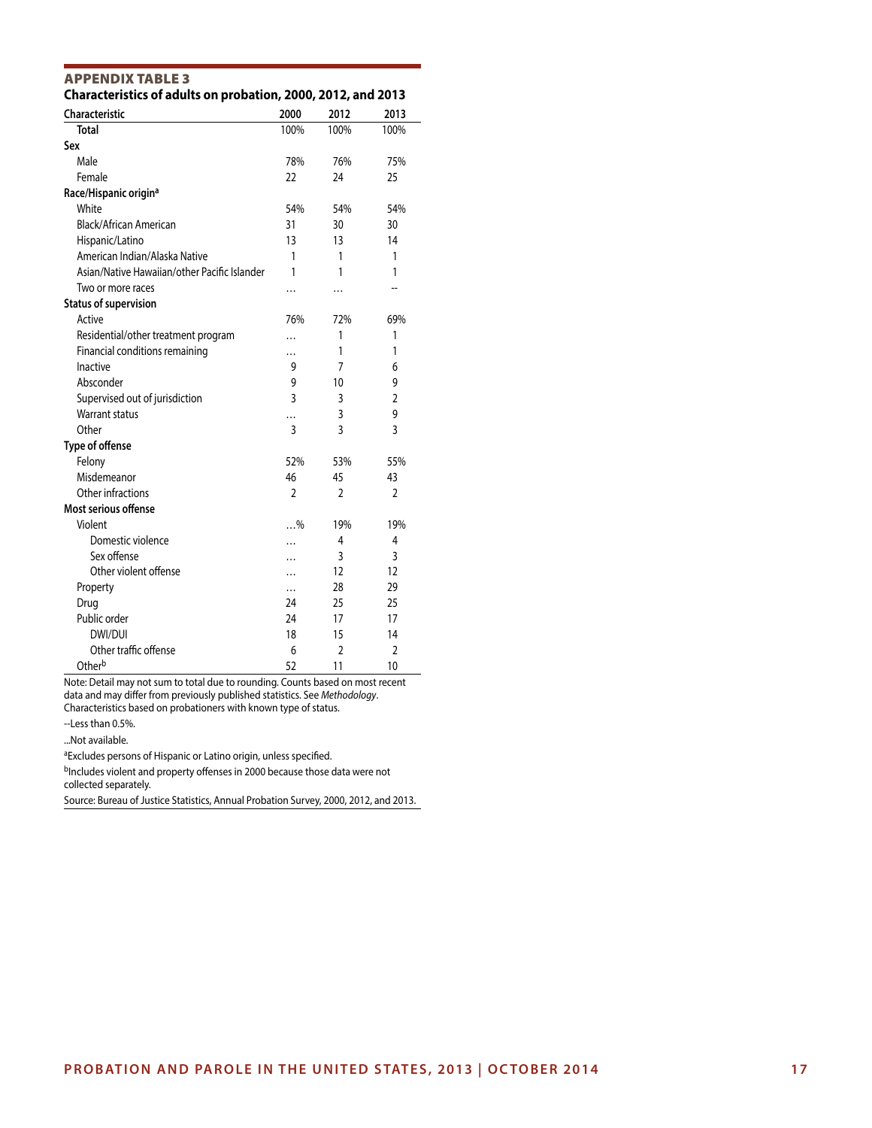| Characteristic                               | 2000           | 2012           | 2013           |
|----------------------------------------------|----------------|----------------|----------------|
| <b>Total</b>                                 | 100%           | 100%           | 100%           |
| Sex                                          |                |                |                |
| Male                                         | 78%            | 76%            | 75%            |
| Female                                       | 22             | 24             | 25             |
| Race/Hispanic origin <sup>a</sup>            |                |                |                |
| White                                        | 54%            | 54%            | 54%            |
| Black/African American                       | 31             | 30             | 30             |
| Hispanic/Latino                              | 13             | 13             | 14             |
| American Indian/Alaska Native                | 1              | 1              | 1              |
| Asian/Native Hawaiian/other Pacific Islander | 1              | 1              | 1              |
| Two or more races                            |                | .              |                |
| <b>Status of supervision</b>                 |                |                |                |
| Active                                       | 76%            | 72%            | 69%            |
| Residential/other treatment program          | .              | 1              | 1              |
| Financial conditions remaining               |                | 1              | 1              |
| Inactive                                     | 9              | 7              | 6              |
| Absconder                                    | 9              | 10             | 9              |
| Supervised out of jurisdiction               | 3              | 3              | $\overline{2}$ |
| <b>Warrant status</b>                        |                | 3              | 9              |
| Other                                        | 3              | 3              | 3              |
| Type of offense                              |                |                |                |
| Felony                                       | 52%            | 53%            | 55%            |
| Misdemeanor                                  | 46             | 45             | 43             |
| Other infractions                            | $\overline{2}$ | $\overline{2}$ | $\overline{2}$ |
| Most serious offense                         |                |                |                |
| Violent                                      | $\ldots$ %     | 19%            | 19%            |
| Domestic violence                            | .              | 4              | 4              |
| Sex offense                                  | $\ddotsc$      | 3              | 3              |
| Other violent offense                        |                | 12             | 12             |
| Property                                     |                | 28             | 29             |
| Drug                                         | 24             | 25             | 25             |
| Public order                                 | 24             | 17             | 17             |
| DWI/DUI                                      | 18             | 15             | 14             |
| Other traffic offense                        | 6              | $\overline{2}$ | $\overline{2}$ |
| Other <sup>b</sup>                           | 52             | 11             | 10             |

#### APPENDIX TABLE 3 **Characteristics of adults on probation, 2000, 2012, and 2013**

Note: Detail may not sum to total due to rounding. Counts based on most recent data and may differ from previously published statistics. See *Methodology*. Characteristics based on probationers with known type of status.

--Less than 0.5%.

...Not available.

<sup>a</sup>Excludes persons of Hispanic or Latino origin, unless specified.

bIncludes violent and property offenses in 2000 because those data were not collected separately.

Source: Bureau of Justice Statistics, Annual Probation Survey, 2000, 2012, and 2013.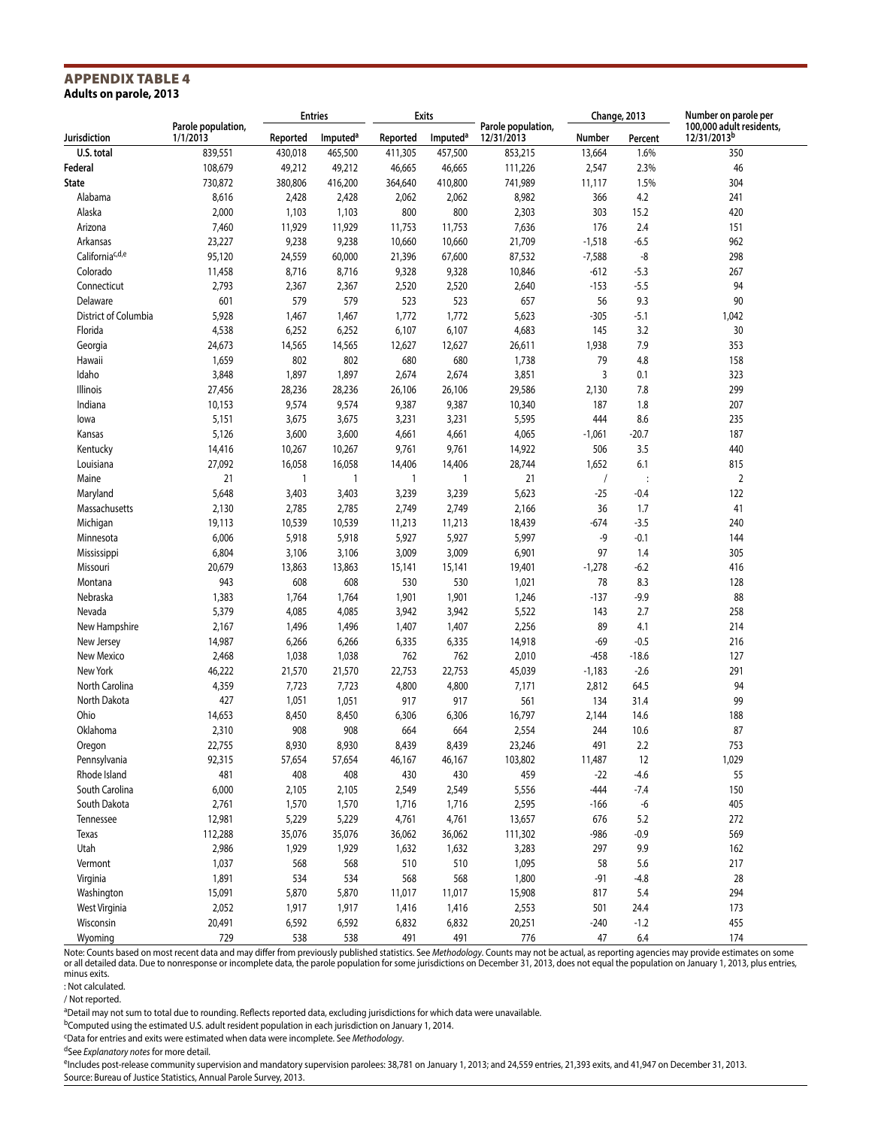#### APPENDIX TABLE 4 **Adults on parole, 2013**

|                             |                                |          | <b>Entries</b>       |              | Exits                |                                  |                |                | Change, 2013                                        |  | Number on parole per |
|-----------------------------|--------------------------------|----------|----------------------|--------------|----------------------|----------------------------------|----------------|----------------|-----------------------------------------------------|--|----------------------|
| Jurisdiction                | Parole population,<br>1/1/2013 | Reported | Imputed <sup>a</sup> | Reported     | Imputed <sup>a</sup> | Parole population,<br>12/31/2013 | Number         | Percent        | 100,000 adult residents,<br>12/31/2013 <sup>b</sup> |  |                      |
| U.S. total                  | 839,551                        | 430,018  | 465,500              | 411,305      | 457,500              | 853,215                          | 13,664         | 1.6%           | 350                                                 |  |                      |
| Federal                     | 108,679                        | 49,212   | 49,212               | 46,665       | 46,665               | 111,226                          | 2,547          | 2.3%           | 46                                                  |  |                      |
| State                       | 730,872                        | 380,806  | 416,200              | 364,640      | 410,800              | 741,989                          | 11,117         | 1.5%           | 304                                                 |  |                      |
| Alabama                     | 8,616                          | 2,428    | 2,428                | 2,062        | 2,062                | 8,982                            | 366            | 4.2            | 241                                                 |  |                      |
| Alaska                      | 2,000                          | 1,103    | 1,103                | 800          | 800                  | 2,303                            | 303            | 15.2           | 420                                                 |  |                      |
| Arizona                     | 7,460                          | 11,929   | 11,929               | 11,753       | 11,753               | 7,636                            | 176            | 2.4            | 151                                                 |  |                      |
| Arkansas                    | 23,227                         | 9,238    | 9,238                | 10,660       | 10,660               | 21,709                           | $-1,518$       | $-6.5$         | 962                                                 |  |                      |
| California <sup>c,d,e</sup> | 95,120                         | 24,559   | 60,000               | 21,396       | 67,600               | 87,532                           | $-7,588$       | -8             | 298                                                 |  |                      |
| Colorado                    | 11,458                         | 8,716    | 8,716                | 9,328        | 9,328                | 10,846                           | $-612$         | $-5.3$         | 267                                                 |  |                      |
| Connecticut                 | 2,793                          | 2,367    | 2,367                | 2,520        | 2,520                | 2,640                            | $-153$         | $-5.5$         | 94                                                  |  |                      |
| Delaware                    | 601                            | 579      | 579                  | 523          | 523                  | 657                              | 56             | 9.3            | 90                                                  |  |                      |
| District of Columbia        | 5,928                          | 1,467    | 1,467                | 1,772        | 1,772                | 5,623                            | -305           | $-5.1$         | 1,042                                               |  |                      |
| Florida                     | 4,538                          | 6,252    | 6,252                | 6,107        | 6,107                | 4,683                            | 145            | 3.2            | 30                                                  |  |                      |
|                             | 24,673                         | 14,565   | 14,565               | 12,627       | 12,627               | 26,611                           | 1,938          | 7.9            | 353                                                 |  |                      |
| Georgia                     |                                |          |                      |              |                      |                                  |                |                |                                                     |  |                      |
| Hawaii                      | 1,659                          | 802      | 802                  | 680          | 680                  | 1,738                            | 79             | 4.8            | 158                                                 |  |                      |
| Idaho                       | 3,848                          | 1,897    | 1,897                | 2,674        | 2,674                | 3,851                            | 3              | 0.1            | 323                                                 |  |                      |
| Illinois                    | 27,456                         | 28,236   | 28,236               | 26,106       | 26,106               | 29,586                           | 2,130          | 7.8            | 299                                                 |  |                      |
| Indiana                     | 10,153                         | 9,574    | 9,574                | 9,387        | 9,387                | 10,340                           | 187            | 1.8            | 207                                                 |  |                      |
| lowa                        | 5,151                          | 3,675    | 3,675                | 3,231        | 3,231                | 5,595                            | 444            | 8.6            | 235                                                 |  |                      |
| Kansas                      | 5,126                          | 3,600    | 3,600                | 4,661        | 4,661                | 4,065                            | $-1,061$       | $-20.7$        | 187                                                 |  |                      |
| Kentucky                    | 14,416                         | 10,267   | 10,267               | 9,761        | 9,761                | 14,922                           | 506            | 3.5            | 440                                                 |  |                      |
| Louisiana                   | 27,092                         | 16,058   | 16,058               | 14,406       | 14,406               | 28,744                           | 1,652          | 6.1            | 815                                                 |  |                      |
| Maine                       | 21                             | 1        | $\mathbf{1}$         | $\mathbf{1}$ | $\mathbf{1}$         | 21                               | $\overline{1}$ | $\ddot{\cdot}$ | $\overline{2}$                                      |  |                      |
| Maryland                    | 5,648                          | 3,403    | 3,403                | 3,239        | 3,239                | 5,623                            | $-25$          | $-0.4$         | 122                                                 |  |                      |
| Massachusetts               | 2,130                          | 2,785    | 2,785                | 2,749        | 2,749                | 2,166                            | 36             | 1.7            | 41                                                  |  |                      |
| Michigan                    | 19,113                         | 10,539   | 10,539               | 11,213       | 11,213               | 18,439                           | $-674$         | $-3.5$         | 240                                                 |  |                      |
| Minnesota                   | 6,006                          | 5,918    | 5,918                | 5,927        | 5,927                | 5,997                            | -9             | $-0.1$         | 144                                                 |  |                      |
| Mississippi                 | 6,804                          | 3,106    | 3,106                | 3,009        | 3,009                | 6,901                            | 97             | 1.4            | 305                                                 |  |                      |
| Missouri                    | 20,679                         | 13,863   | 13,863               | 15,141       | 15,141               | 19,401                           | $-1,278$       | $-6.2$         | 416                                                 |  |                      |
| Montana                     | 943                            | 608      | 608                  | 530          | 530                  | 1,021                            | 78             | 8.3            | 128                                                 |  |                      |
| Nebraska                    | 1,383                          | 1,764    | 1,764                | 1,901        | 1,901                | 1,246                            | $-137$         | $-9.9$         | 88                                                  |  |                      |
| Nevada                      | 5,379                          | 4,085    | 4,085                | 3,942        | 3,942                | 5,522                            | 143            | 2.7            | 258                                                 |  |                      |
| New Hampshire               | 2,167                          | 1,496    | 1,496                | 1,407        | 1,407                | 2,256                            | 89             | 4.1            | 214                                                 |  |                      |
| New Jersey                  | 14,987                         | 6,266    | 6,266                | 6,335        | 6,335                | 14,918                           | $-69$          | $-0.5$         | 216                                                 |  |                      |
| New Mexico                  | 2,468                          | 1,038    | 1,038                | 762          | 762                  | 2,010                            | $-458$         | $-18.6$        | 127                                                 |  |                      |
| New York                    | 46,222                         | 21,570   | 21,570               | 22,753       | 22,753               | 45,039                           | $-1,183$       | $-2.6$         | 291                                                 |  |                      |
| North Carolina              | 4,359                          | 7,723    | 7,723                | 4,800        | 4,800                | 7,171                            | 2,812          | 64.5           | 94                                                  |  |                      |
| North Dakota                | 427                            | 1,051    | 1,051                | 917          | 917                  | 561                              | 134            | 31.4           | 99                                                  |  |                      |
| Ohio                        | 14,653                         | 8,450    | 8,450                | 6,306        | 6,306                | 16,797                           | 2,144          | 14.6           | 188                                                 |  |                      |
| Oklahoma                    | 2,310                          | 908      | 908                  | 664          | 664                  | 2,554                            | 244            | 10.6           | 87                                                  |  |                      |
| Oregon                      | 22,755                         | 8,930    | 8,930                | 8,439        | 8,439                | 23,246                           | 491            | 2.2            | 753                                                 |  |                      |
| Pennsylvania                | 92,315                         | 57,654   | 57,654               | 46,167       | 46,167               | 103,802                          | 11,487         | 12             | 1,029                                               |  |                      |
| Rhode Island                | 481                            | 408      | 408                  | 430          | 430                  | 459                              | $-22$          | $-4.6$         | 55                                                  |  |                      |
| South Carolina              |                                |          |                      |              | 2,549                |                                  | $-444$         |                | 150                                                 |  |                      |
| South Dakota                | 6,000                          | 2,105    | 2,105                | 2,549        |                      | 5,556                            |                | $-7.4$         | 405                                                 |  |                      |
|                             | 2,761                          | 1,570    | 1,570                | 1,716        | 1,716                | 2,595                            | -166           | -6             |                                                     |  |                      |
| Tennessee                   | 12,981                         | 5,229    | 5,229                | 4,761        | 4,761                | 13,657                           | 676            | 5.2            | 272                                                 |  |                      |
| Texas                       | 112,288                        | 35,076   | 35,076               | 36,062       | 36,062               | 111,302                          | $-986$         | $-0.9$         | 569                                                 |  |                      |
| Utah                        | 2,986                          | 1,929    | 1,929                | 1,632        | 1,632                | 3,283                            | 297            | 9.9            | 162                                                 |  |                      |
| Vermont                     | 1,037                          | 568      | 568                  | 510          | 510                  | 1,095                            | 58             | 5.6            | 217                                                 |  |                      |
| Virginia                    | 1,891                          | 534      | 534                  | 568          | 568                  | 1,800                            | $-91$          | $-4.8$         | 28                                                  |  |                      |
| Washington                  | 15,091                         | 5,870    | 5,870                | 11,017       | 11,017               | 15,908                           | 817            | 5.4            | 294                                                 |  |                      |
| West Virginia               | 2,052                          | 1,917    | 1,917                | 1,416        | 1,416                | 2,553                            | 501            | 24.4           | 173                                                 |  |                      |
| Wisconsin                   | 20,491                         | 6,592    | 6,592                | 6,832        | 6,832                | 20,251                           | $-240$         | $-1.2$         | 455                                                 |  |                      |
| Wyoming                     | 729                            | 538      | 538                  | 491          | 491                  | 776                              | 47             | 6.4            | 174                                                 |  |                      |

Note: Counts based on most recent data and may differ from previously published statistics. See *Methodology.* Counts may not be actual, as reporting agencies may provide estimates on some<br>or all detailed data. Due to nonr minus exits.

: Not calculated.

/ Not reported.

aDetail may not sum to total due to rounding. Reflects reported data, excluding jurisdictions for which data were unavailable.

bComputed using the estimated U.S. adult resident population in each jurisdiction on January 1, 2014.

cData for entries and exits were estimated when data were incomplete. See *Methodology*.

dSee *Explanatory notes* for more detail.

eIncludes post-release community supervision and mandatory supervision parolees: 38,781 on January 1, 2013; and 24,559 entries, 21,393 exits, and 41,947 on December 31, 2013. Source: Bureau of Justice Statistics, Annual Parole Survey, 2013.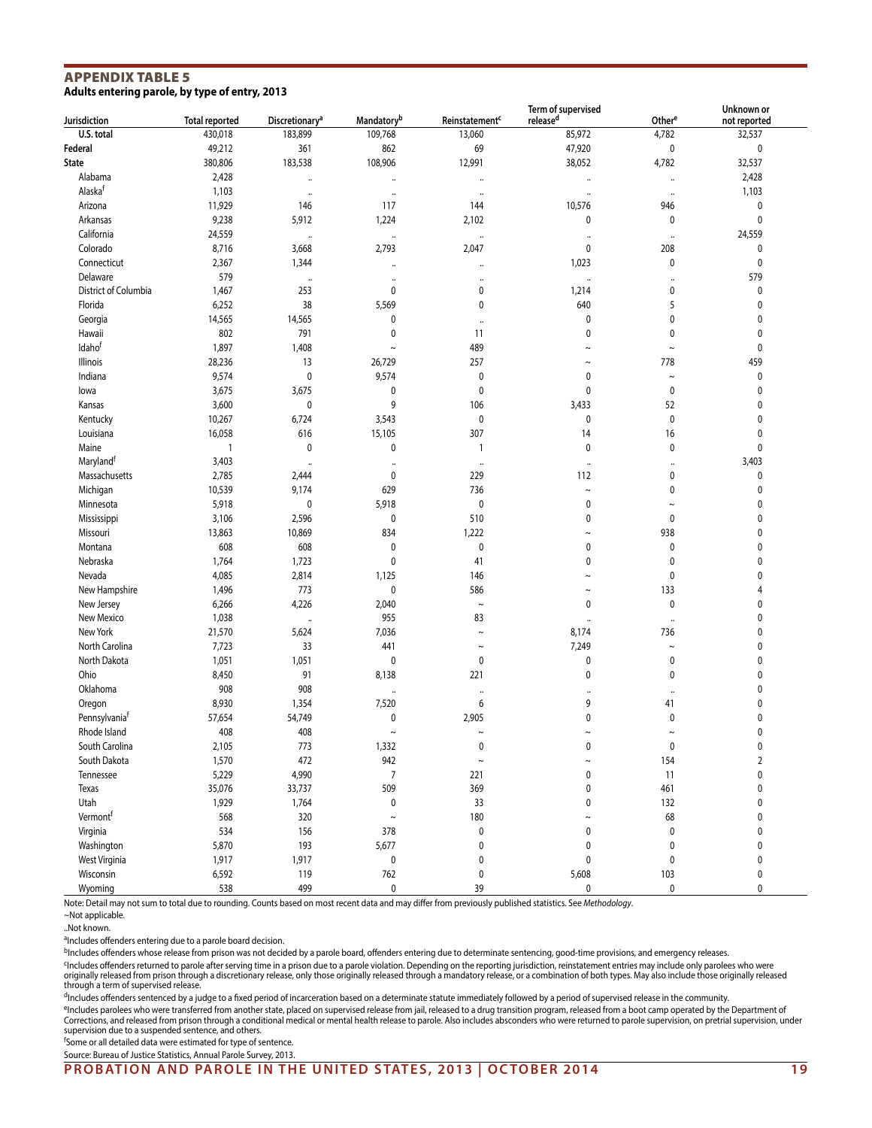#### APPENDIX TABLE 5 **Adults entering parole, by type of entry, 2013**

| Jurisdiction              | <b>Total reported</b>                   | Discretionary <sup>a</sup>  | Mandatoryb     | Reinstatement <sup>c</sup>  | Term of supervised<br>release <sup>d</sup> | Othere               | Unknown or<br>not reported |
|---------------------------|-----------------------------------------|-----------------------------|----------------|-----------------------------|--------------------------------------------|----------------------|----------------------------|
| U.S. total                | 430,018<br>183,899<br>109,768<br>13,060 |                             | 85,972         | 4,782                       | 32,537                                     |                      |                            |
| Federal                   | 49,212                                  | 361                         | 862            | 69                          | 47,920                                     | $\pmb{0}$            | 0                          |
| <b>State</b>              | 380,806                                 | 183,538                     | 108,906        | 12,991                      | 38,052                                     | 4,782                | 32,537                     |
| Alabama                   | 2,428                                   |                             |                |                             |                                            |                      | 2,428                      |
| Alaskaf                   | 1,103                                   | $\ddot{\phantom{0}}$        |                |                             |                                            | $\ddot{\phantom{0}}$ | 1,103                      |
| Arizona                   | 11,929                                  | $\ddot{\phantom{0}}$<br>146 | <br>117        | $\ddot{\phantom{0}}$<br>144 | <br>10,576                                 | $\ddotsc$<br>946     | 0                          |
| Arkansas                  | 9,238                                   | 5,912                       | 1,224          | 2,102                       | 0                                          | 0                    | $\pmb{0}$                  |
| California                | 24,559                                  |                             |                |                             |                                            |                      | 24,559                     |
|                           |                                         | $\ddot{\phantom{0}}$        |                | $\ddot{\phantom{0}}$        | $\ddot{\phantom{a}}$<br>0                  | $\cdot\cdot$<br>208  |                            |
| Colorado                  | 8,716                                   | 3,668                       | 2,793          | 2,047                       |                                            |                      | 0                          |
| Connecticut               | 2,367                                   | 1,344                       |                |                             | 1,023                                      | 0                    | $\pmb{0}$                  |
| Delaware                  | 579                                     | $\ddotsc$                   |                | $\ddot{\phantom{0}}$        | $\ddotsc$                                  |                      | 579                        |
| District of Columbia      | 1,467                                   | 253                         | 0              | 0                           | 1,214                                      | 0                    | 0                          |
| Florida                   | 6,252                                   | 38                          | 5,569          | $\mathbf{0}$                | 640                                        | 5                    | 0                          |
| Georgia                   | 14,565                                  | 14,565                      | 0              | $\ddot{\phantom{0}}$        | 0                                          | 0                    | 0                          |
| Hawaii                    | 802                                     | 791                         | 0              | 11                          | 0                                          | 0                    | 0                          |
| Idaho <sup>t</sup>        | 1,897                                   | 1,408                       | $\sim$         | 489                         | $\tilde{ }$                                | $\sim$               | 0                          |
| Illinois                  | 28,236                                  | 13                          | 26,729         | 257                         | $\tilde{ }$                                | 778                  | 459                        |
| Indiana                   | 9,574                                   | 0                           | 9,574          | $\pmb{0}$                   | 0                                          | $\sim$               | $\pmb{0}$                  |
| lowa                      | 3,675                                   | 3,675                       | 0              | $\pmb{0}$                   | 0                                          | 0                    | 0                          |
| Kansas                    | 3,600                                   | 0                           | 9              | 106                         | 3,433                                      | 52                   | 0                          |
| Kentucky                  | 10,267                                  | 6,724                       | 3,543          | $\pmb{0}$                   | 0                                          | $\pmb{0}$            | 0                          |
| Louisiana                 | 16,058                                  | 616                         | 15,105         | 307                         | 14                                         | 16                   | 0                          |
| Maine                     | $\mathbf{1}$                            | 0                           | $\pmb{0}$      | $\mathbf{1}$                | 0                                          | $\mathbf 0$          | $\pmb{0}$                  |
| Maryland <sup>t</sup>     | 3,403                                   | $\ddot{\phantom{a}}$        |                | $\ddotsc$                   | $\ddot{\phantom{0}}$                       |                      | 3,403                      |
| Massachusetts             | 2,785                                   | 2,444                       | 0              | 229                         | 112                                        | 0                    | 0                          |
| Michigan                  | 10,539                                  | 9,174                       | 629            | 736                         | $\sim$                                     | 0                    | 0                          |
| Minnesota                 | 5,918                                   | 0                           | 5,918          | $\pmb{0}$                   | 0                                          | $\tilde{}$           | 0                          |
| Mississippi               | 3,106                                   | 2,596                       | 0              | 510                         | 0                                          | 0                    | 0                          |
| Missouri                  | 13,863                                  | 10,869                      | 834            | 1,222                       | $\tilde{ }$                                | 938                  | 0                          |
| Montana                   | 608                                     | 608                         | 0              | $\pmb{0}$                   | 0                                          | 0                    | 0                          |
| Nebraska                  | 1,764                                   | 1,723                       | 0              | 41                          | 0                                          | 0                    | 0                          |
| Nevada                    | 4,085                                   | 2,814                       | 1,125          | 146                         | $\sim$                                     | $\mathbf 0$          | 0                          |
| New Hampshire             | 1,496                                   | 773                         | 0              | 586                         |                                            | 133                  | 4                          |
| New Jersey                | 6,266                                   | 4,226                       | 2,040          | $\tilde{}$                  | 0                                          | 0                    | 0                          |
| New Mexico                | 1,038                                   | $\ddot{\phantom{a}}$        | 955            | 83                          |                                            |                      | 0                          |
| New York                  | 21,570                                  | 5,624                       | 7,036          | $\tilde{}$                  | 8,174                                      | 736                  | 0                          |
| North Carolina            | 7,723                                   | 33                          | 441            | $\sim$                      | 7,249                                      | $\tilde{}$           | 0                          |
| North Dakota              | 1,051                                   | 1,051                       | 0              | $\pmb{0}$                   | 0                                          | 0                    | 0                          |
| Ohio                      | 8,450                                   | 91                          | 8,138          | 221                         | 0                                          | 0                    | 0                          |
| Oklahoma                  | 908                                     | 908                         |                | $\ddot{\phantom{0}}$        | $\ddot{\phantom{a}}$                       |                      | 0                          |
| Oregon                    | 8,930                                   | 1,354                       | 7,520          | 6                           | 9                                          | 41                   | 0                          |
| Pennsylvania <sup>t</sup> | 57,654                                  | 54,749                      | 0              | 2,905                       | 0                                          | 0                    | 0                          |
| Rhode Island              | 408                                     | 408                         | $\sim$         | $\sim$                      | $\tilde{ }$                                | $\sim$               | 0                          |
| South Carolina            | 2,105                                   | 773                         | 1,332          | $\pmb{0}$                   |                                            | 0                    | 0                          |
| South Dakota              | 1,570                                   | 472                         | 942            | $\sim$                      |                                            | 154                  | $\overline{2}$             |
| Tennessee                 | 5,229                                   | 4,990                       | $\overline{7}$ | 221                         | 0                                          | 11                   | $\pmb{0}$                  |
| Texas                     | 35,076                                  | 33,737                      | 509            | 369                         | 0                                          | 461                  | 0                          |
| Utah                      | 1,929                                   | 1,764                       | $\pmb{0}$      | 33                          | 0                                          | 132                  | $\pmb{0}$                  |
| Vermontf                  | 568                                     | 320                         | $\tilde{}$     | 180                         |                                            | 68                   | $\pmb{0}$                  |
| Virginia                  | 534                                     | 156                         | 378            | $\pmb{0}$                   | 0                                          | $\pmb{0}$            | 0                          |
| Washington                | 5,870                                   | 193                         | 5,677          | $\pmb{0}$                   | 0                                          | 0                    | 0                          |
| West Virginia             | 1,917                                   | 1,917                       | $\pmb{0}$      | 0                           | 0                                          | 0                    | 0                          |
| Wisconsin                 | 6,592                                   | 119                         | 762            | $\pmb{0}$                   | 5,608                                      | 103                  | 0                          |
| Wyoming                   | 538                                     | 499                         | 0              | 39                          | $\pmb{0}$                                  | $\pmb{0}$            | 0                          |

Note: Detail may not sum to total due to rounding. Counts based on most recent data and may differ from previously published statistics. See *Methodology*.

..Not known.

aIncludes offenders entering due to a parole board decision.

bIncludes offenders whose release from prison was not decided by a parole board, offenders entering due to determinate sentencing, good-time provisions, and emergency releases.

<sup>c</sup>Includes offenders returned to parole after serving time in a prison due to a parole violation. Depending on the reporting jurisdiction, reinstatement entries may include only parolees who were<br>originally released from through a term of supervised release.

dIncludes offenders sentenced by a judge to a fixed period of incarceration based on a determinate statute immediately followed by a period of supervised release in the community.

<sup>e</sup>lncludes parolees who were transferred from another state, placed on supervised release from jail, released to a drug transition program, released from a boot camp operated by the Department of<br>Corrections, and released

<sup>f</sup>Some or all detailed data were estimated for type of sentence. Source: Bureau of Justice Statistics, Annual Parole Survey, 2013.

<sup>~</sup>Not applicable.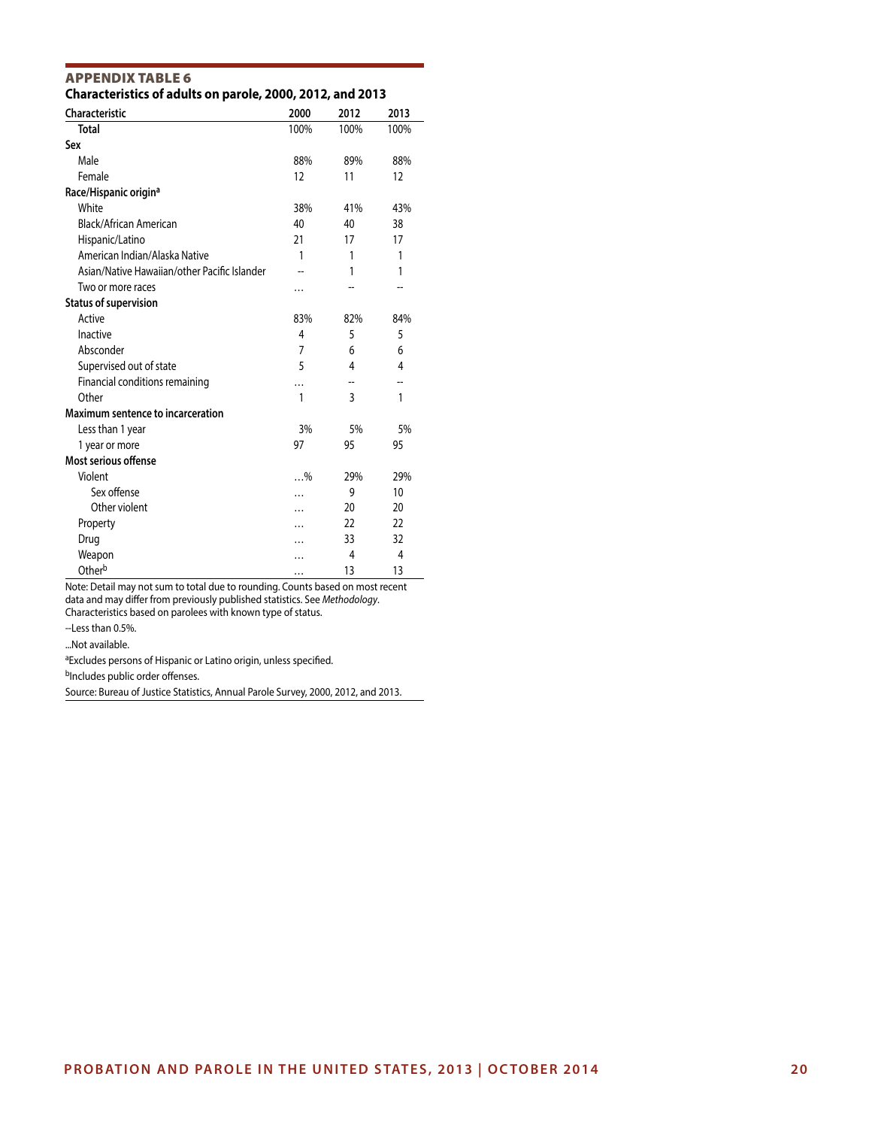| Characteristics of addits on parole, 2000, 2012, and 2013 |                |      |      |
|-----------------------------------------------------------|----------------|------|------|
| <b>Characteristic</b>                                     | 2000           | 2012 | 2013 |
| <b>Total</b>                                              | 100%           | 100% | 100% |
| Sex                                                       |                |      |      |
| Male                                                      | 88%            | 89%  | 88%  |
| Female                                                    | 12             | 11   | 12   |
| Race/Hispanic origin <sup>a</sup>                         |                |      |      |
| White                                                     | 38%            | 41%  | 43%  |
| Black/African American                                    | 40             | 40   | 38   |
| Hispanic/Latino                                           | 21             | 17   | 17   |
| American Indian/Alaska Native                             | 1              | 1    | 1    |
| Asian/Native Hawaiian/other Pacific Islander              |                | 1    | 1    |
| Two or more races                                         | .              |      |      |
| <b>Status of supervision</b>                              |                |      |      |
| Active                                                    | 83%            | 82%  | 84%  |
| Inactive                                                  | $\overline{4}$ | 5    | 5    |
| Absconder                                                 | $\overline{7}$ | 6    | 6    |
| Supervised out of state                                   | 5              | 4    | 4    |
| Financial conditions remaining                            | .              |      | --   |
| Other                                                     | 1              | 3    | 1    |
| Maximum sentence to incarceration                         |                |      |      |
| Less than 1 year                                          | 3%             | 5%   | 5%   |
| 1 year or more                                            | 97             | 95   | 95   |
| Most serious offense                                      |                |      |      |
| Violent                                                   | $$ %           | 29%  | 29%  |
| Sex offense                                               | .              | 9    | 10   |
| Other violent                                             | .              | 20   | 20   |
| Property                                                  |                | 22   | 22   |
| Drug                                                      |                | 33   | 32   |
| Weapon                                                    |                | 4    | 4    |
| Otherb                                                    | .              | 13   | 13   |

APPENDIX TABLE 6 **Characteristics of adults on parole, 2000, 2012, and 2013**

Note: Detail may not sum to total due to rounding. Counts based on most recent data and may differ from previously published statistics. See *Methodology*. Characteristics based on parolees with known type of status.

--Less than 0.5%.

...Not available.

aExcludes persons of Hispanic or Latino origin, unless specified.

bIncludes public order offenses.

Source: Bureau of Justice Statistics, Annual Parole Survey, 2000, 2012, and 2013.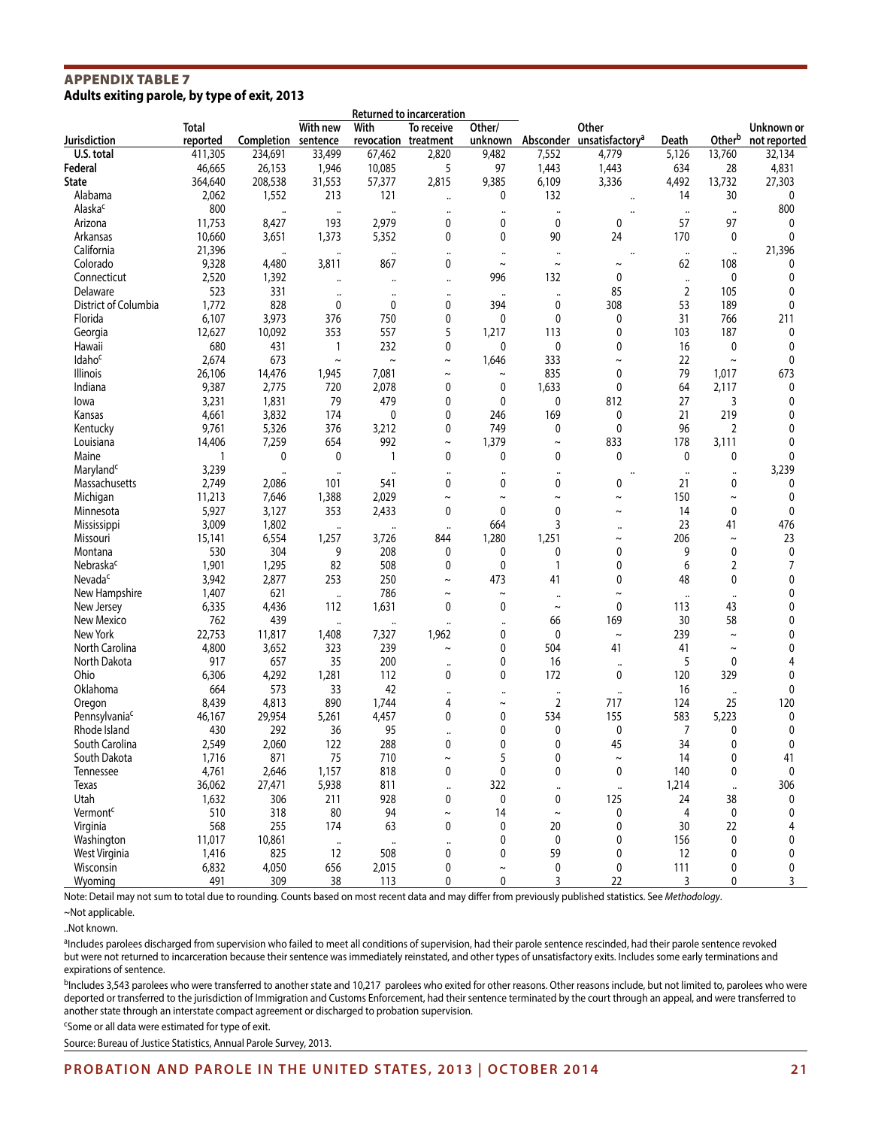#### APPENDIX TABLE 7 **Adults exiting parole, by type of exit, 2013**

|                           |                   |                      |                      |                      | Returned to incarceration          |                      |                       |                                                |                      |                      |                            |  |
|---------------------------|-------------------|----------------------|----------------------|----------------------|------------------------------------|----------------------|-----------------------|------------------------------------------------|----------------------|----------------------|----------------------------|--|
| Jurisdiction              | Total<br>reported | Completion sentence  | With new             | With                 | To receive<br>revocation treatment | Other/<br>unknown    |                       | Other<br>Absconder unsatisfactory <sup>a</sup> | Death                | Otherb               | Unknown or<br>not reported |  |
| U.S. total                | 411,305           | 234,691              | 33,499               | 67,462               | 2,820                              | 9,482                | 7,552                 | 4,779                                          | 5,126                | 13,760               | 32,134                     |  |
| Federal                   | 46,665            | 26,153               | 1,946                | 10,085               | 5                                  | 97                   | 1,443                 | 1,443                                          | 634                  | 28                   | 4,831                      |  |
| <b>State</b>              | 364,640           | 208,538              | 31,553               | 57,377               | 2,815                              | 9,385                | 6,109                 | 3,336                                          | 4,492                | 13,732               | 27,303                     |  |
| Alabama                   | 2,062             | 1,552                | 213                  | 121                  | $\ddot{\phantom{a}}$               | 0                    | 132                   | $\ddot{\phantom{0}}$                           | 14                   | 30                   | 0                          |  |
| Alaska <sup>c</sup>       | 800               | $\ddot{\phantom{a}}$ | $\ddotsc$            |                      | $\ddot{\phantom{a}}$               | $\ddotsc$            | $\ddot{\phantom{a}}$  | .,                                             | $\cdot\cdot$         | $\ddot{\phantom{a}}$ | 800                        |  |
| Arizona                   | 11,753            | 8,427                | 193                  | 2,979                | 0                                  | 0                    | 0                     | 0                                              | 57                   | 97                   | 0                          |  |
| Arkansas                  | 10,660            | 3,651                | 1,373                | 5,352                | 0                                  | 0                    | 90                    | 24                                             | 170                  | 0                    | 0                          |  |
| California                | 21,396            |                      |                      | $\ddot{\phantom{a}}$ |                                    | $\ddot{\phantom{a}}$ | $\ddotsc$             |                                                | $\ddotsc$            |                      | 21,396                     |  |
| Colorado                  | 9,328             | 4,480                | 3,811                | 867                  | 0                                  | $\sim$               | $\sim$                | $\sim$                                         | 62                   | 108                  | 0                          |  |
| Connecticut               | 2,520             | 1,392                | $\ddot{\phantom{0}}$ | $\ddotsc$            | $\ddotsc$                          | 996                  | 132                   | 0                                              | $\ddotsc$            | 0                    | 0                          |  |
| Delaware                  | 523               | 331                  |                      | $\ddot{\phantom{a}}$ | $\ddot{\phantom{a}}$               | $\ddot{\phantom{0}}$ | $\ddot{\phantom{a}}$  | 85                                             | 2                    | 105                  | 0                          |  |
| District of Columbia      | 1,772             | 828                  | 0                    | 0                    | 0                                  | 394                  | 0                     | 308                                            | 53                   | 189                  | 0                          |  |
| Florida                   | 6,107             | 3,973                | 376                  | 750                  | 0                                  | 0                    | $\mathbf{0}$          | 0                                              | 31                   | 766                  | 211                        |  |
| Georgia                   | 12,627            | 10,092               | 353                  | 557                  | 5                                  | 1,217                | 113                   | 0                                              | 103                  | 187                  | 0                          |  |
| Hawaii                    | 680               | 431                  | $\mathbf{1}$         | 232                  | 0                                  | 0                    | 0                     | 0                                              | 16                   | 0                    | 0                          |  |
| Idaho <sup>c</sup>        | 2,674             | 673                  | $\tilde{}$           | $\sim$               | $\tilde{}$                         | 1,646                | 333                   | $\tilde{}$                                     | 22                   | $\tilde{}$           | 0                          |  |
| Illinois                  | 26,106            | 14,476               | 1,945                | 7,081                | $\tilde{}$                         | $\tilde{}$           | 835                   | 0                                              | 79                   | 1,017                | 673                        |  |
| Indiana                   | 9,387             | 2,775                | 720                  | 2,078                | 0                                  | 0                    | 1,633                 | $\mathbf{0}$                                   | 64                   | 2,117                | 0                          |  |
| lowa                      | 3,231             | 1,831                | 79                   | 479                  | 0                                  | 0                    | 0                     | 812                                            | 27                   | 3                    | 0                          |  |
| Kansas                    | 4,661             | 3,832                | 174                  | 0                    | 0                                  | 246                  | 169                   | 0                                              | 21                   | 219                  | 0                          |  |
| Kentucky                  | 9,761             | 5,326                | 376                  | 3,212                | 0                                  | 749                  | 0                     | 0                                              | 96                   | 2                    | 0                          |  |
| Louisiana                 | 14,406            | 7,259                | 654                  | 992                  | $\sim$                             | 1,379                | $\tilde{}$            | 833                                            | 178                  | 3,111                | 0                          |  |
| Maine                     | 1                 | 0                    | $\mathbf 0$          | 1                    | 0                                  | 0                    | $\mathbf{0}$          | $\mathbf{0}$                                   | 0                    | 0                    | 0                          |  |
| Maryland <sup>c</sup>     | 3,239             | $\ddot{\phantom{0}}$ | $\ddot{\phantom{a}}$ | $\ddot{\phantom{a}}$ | $\ddot{\phantom{0}}$               | $\ddot{\phantom{a}}$ | $\ddotsc$             | $\ddot{\phantom{0}}$                           | $\ddot{\phantom{a}}$ | $\ddotsc$            | 3,239                      |  |
| Massachusetts             | 2,749             | 2,086                | 101                  | 541                  | 0                                  | 0                    | 0                     | 0                                              | 21                   | 0                    | 0                          |  |
| Michigan                  | 11,213            | 7,646                | 1,388                | 2,029                | $\tilde{\phantom{a}}$              | $\sim$               | $\tilde{\phantom{a}}$ | $\sim$                                         | 150                  | $\tilde{}$           | 0                          |  |
| Minnesota                 | 5,927             | 3,127                | 353                  | 2,433                | 0                                  | $\mathbf{0}$         | 0                     | $\sim$                                         | 14                   | 0                    | 0                          |  |
| Mississippi               | 3,009             | 1,802                | $\ddot{\phantom{a}}$ | $\ddot{\phantom{a}}$ | $\ddot{\phantom{a}}$               | 664                  | 3                     |                                                | 23                   | 41                   | 476                        |  |
| Missouri                  | 15,141            | 6,554                | 1,257                | 3,726                | 844                                | 1,280                | 1,251                 | $\tilde{}$                                     | 206                  | $\tilde{}$           | 23                         |  |
| Montana                   | 530               | 304                  | 9                    | 208                  | 0                                  | 0                    | 0                     | 0                                              | 9                    | 0                    | 0                          |  |
| Nebraska <sup>c</sup>     | 1,901             | 1,295                | 82                   | 508                  | 0                                  | $\mathbf 0$          | $\mathbf{1}$          | 0                                              | 6                    | 2                    | 7                          |  |
| Nevada <sup>c</sup>       | 3,942             | 2,877                | 253                  | 250                  | $\tilde{}$                         | 473                  | 41                    | 0                                              | 48                   | 0                    | 0                          |  |
| New Hampshire             | 1,407             | 621                  | $\ddot{\phantom{a}}$ | 786                  | $\tilde{\phantom{a}}$              | $\tilde{}$           | $\ddotsc$             | $\sim$                                         | $\ddotsc$            | $\ddot{\phantom{a}}$ | 0                          |  |
| New Jersey                | 6,335             | 4,436                | 112                  | 1,631                | 0                                  | 0                    | $\tilde{}$            | 0                                              | 113                  | 43                   | 0                          |  |
| New Mexico                | 762               | 439                  | $\ddot{\phantom{a}}$ | $\ddot{\phantom{a}}$ |                                    | $\ddot{\phantom{a}}$ | 66                    | 169                                            | 30                   | 58                   | 0                          |  |
| New York                  | 22,753            | 11,817               | 1,408                | 7,327                | 1,962                              | 0                    | 0                     | $\tilde{}$                                     | 239                  | $\sim$               | 0                          |  |
| North Carolina            | 4,800             | 3,652                | 323                  | 239                  | $\tilde{}$                         | 0                    | 504                   | 41                                             | 41                   | $\tilde{}$           | 0                          |  |
| North Dakota              | 917               | 657                  | 35                   | 200                  | $\ddot{\phantom{a}}$               | 0                    | 16                    | $\ddot{\phantom{a}}$                           | 5                    | 0                    | 4                          |  |
| Ohio                      | 6,306             | 4,292                | 1,281                | 112                  | 0                                  | 0                    | 172                   | 0                                              | 120                  | 329                  | 0                          |  |
| Oklahoma                  | 664               | 573                  | 33                   | 42                   | $\ddot{\phantom{a}}$               | $\ddot{\phantom{a}}$ | $\ddotsc$             | $\ddotsc$                                      | 16                   | $\ddot{\phantom{a}}$ | 0                          |  |
| Oregon                    | 8,439             | 4,813                | 890                  | 1,744                | 4                                  | $\tilde{}$           | $\overline{2}$        | 717                                            | 124                  | 25                   | 120                        |  |
| Pennsylvania <sup>c</sup> | 46,167            | 29,954               | 5,261                | 4,457                | 0                                  | 0                    | 534                   | 155                                            | 583                  | 5,223                | 0                          |  |
| Rhode Island              | 430               | 292                  | 36                   | 95                   |                                    | 0                    | 0                     | 0                                              | 7                    | 0                    | 0                          |  |
| South Carolina            | 2,549             | 2,060                | 122                  | 288                  | 0                                  | 0                    | 0                     | 45                                             | 34                   | 0                    | 0                          |  |
| South Dakota              | 1,716             | 871                  | 75                   | 710                  | $\tilde{}$                         | 5                    | 0                     | $\sim$                                         | 14                   | 0                    | 41                         |  |
| Tennessee                 | 4,761             | 2,646                | 1,157                | 818                  | 0                                  | $\mathbf 0$          | 0                     | 0                                              | 140                  | 0                    | 0                          |  |
| Texas                     | 36,062            | 27,471               | 5,938                | 811                  | $\ddot{\phantom{a}}$               | 322                  | $\ddotsc$             | $\ddotsc$                                      | 1,214                | $\ddot{\phantom{a}}$ | 306                        |  |
| Utah                      | 1,632             | 306                  | 211                  | 928                  | 0                                  | 0                    | 0                     | 125                                            | 24                   | 38                   | 0                          |  |
| Vermont <sup>c</sup>      | 510               | 318                  | 80                   | 94                   | $\sim$                             | 14                   | $\sim$                | $\mathbf 0$                                    | 4                    | $\mathbf 0$          | 0                          |  |
| Virginia                  | 568               | 255                  | 174                  | 63                   | 0                                  | 0                    | 20                    | 0                                              | 30                   | 22                   | 4                          |  |
| Washington                | 11,017            | 10,861               | $\ddot{\phantom{a}}$ | $\ddotsc$            |                                    | 0                    | $\mathbf 0$           | $\mathbf{0}$                                   | 156                  | 0                    | 0                          |  |
| West Virginia             | 1,416             | 825                  | 12                   | 508                  | 0                                  | 0                    | 59                    | 0                                              | 12                   | 0                    | 0                          |  |
| Wisconsin                 | 6,832             | 4,050                | 656                  | 2,015                | 0                                  | $\sim$               | 0                     | 0                                              | 111                  | 0                    | 0                          |  |
| Wyoming                   | 491               | 309                  | 38                   | 113                  | 0                                  | 0                    | 3                     | 22                                             | 3                    | 0                    | $\overline{3}$             |  |

Note: Detail may not sum to total due to rounding. Counts based on most recent data and may differ from previously published statistics. See *Methodology*.

a<sub>ll</sub> cludes parolees discharged from supervision who failed to meet all conditions of supervision, had their parole sentence rescinded, had their parole sentence revoked but were not returned to incarceration because their sentence was immediately reinstated, and other types of unsatisfactory exits. Includes some early terminations and expirations of sentence.

bIncludes 3,543 parolees who were transferred to another state and 10,217 parolees who exited for other reasons. Other reasons include, but not limited to, parolees who were deported or transferred to the jurisdiction of Immigration and Customs Enforcement, had their sentence terminated by the court through an appeal, and were transferred to another state through an interstate compact agreement or discharged to probation supervision.

<sup>c</sup>Some or all data were estimated for type of exit.

Source: Bureau of Justice Statistics, Annual Parole Survey, 2013.

<sup>~</sup>Not applicable.

<sup>..</sup>Not known.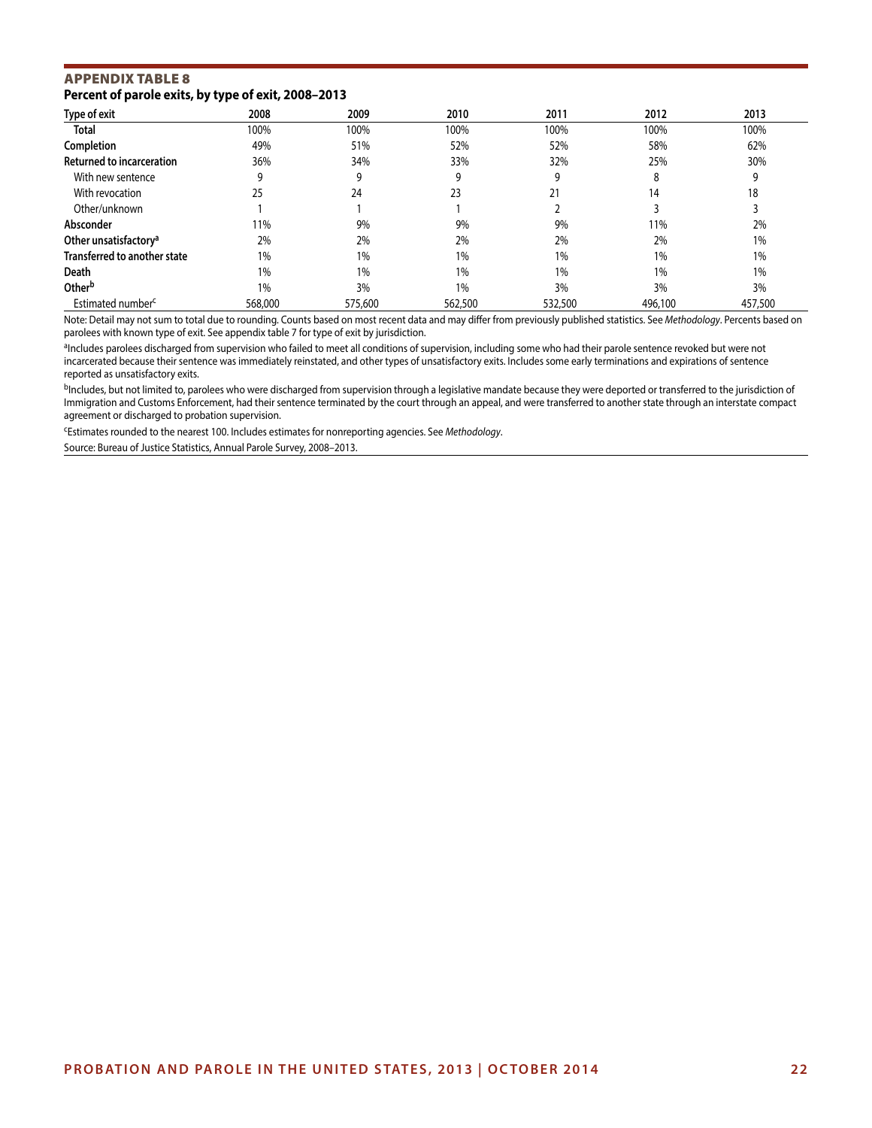# APPENDIX TABLE 8 **Percent of parole exits, by type of exit, 2008–2013**

| <b>Type of exit</b>               | 2008    | 2009    | 2010    | 2011    | 2012    | 2013    |
|-----------------------------------|---------|---------|---------|---------|---------|---------|
| <b>Total</b>                      | 100%    | 100%    | 100%    | 100%    | 100%    | 100%    |
| Completion                        | 49%     | 51%     | 52%     | 52%     | 58%     | 62%     |
| <b>Returned to incarceration</b>  | 36%     | 34%     | 33%     | 32%     | 25%     | 30%     |
| With new sentence                 | q       | 9       | 9       | 9       |         | q       |
| With revocation                   | 25      | 24      | 23      | 21      | 14      | 18      |
| Other/unknown                     |         |         |         |         |         |         |
| Absconder                         | 11%     | 9%      | 9%      | 9%      | 11%     | 2%      |
| Other unsatisfactory <sup>a</sup> | 2%      | 2%      | 2%      | 2%      | 2%      | 1%      |
| Transferred to another state      | 1%      | 1%      | 1%      | 1%      | 1%      | 1%      |
| Death                             | 1%      | 1%      | 1%      | 1%      | 1%      | 1%      |
| Other <sup>b</sup>                | 1%      | 3%      | 1%      | 3%      | 3%      | 3%      |
| Estimated number <sup>c</sup>     | 568,000 | 575,600 | 562,500 | 532,500 | 496,100 | 457,500 |

Note: Detail may not sum to total due to rounding. Counts based on most recent data and may differ from previously published statistics. See *Methodology*. Percents based on parolees with known type of exit. See appendix table 7 for type of exit by jurisdiction.

aIncludes parolees discharged from supervision who failed to meet all conditions of supervision, including some who had their parole sentence revoked but were not incarcerated because their sentence was immediately reinstated, and other types of unsatisfactory exits. Includes some early terminations and expirations of sentence reported as unsatisfactory exits.

<sup>b</sup>Includes, but not limited to, parolees who were discharged from supervision through a legislative mandate because they were deported or transferred to the jurisdiction of Immigration and Customs Enforcement, had their sentence terminated by the court through an appeal, and were transferred to another state through an interstate compact agreement or discharged to probation supervision.

cEstimates rounded to the nearest 100. Includes estimates for nonreporting agencies. See *Methodology*.

Source: Bureau of Justice Statistics, Annual Parole Survey, 2008–2013.